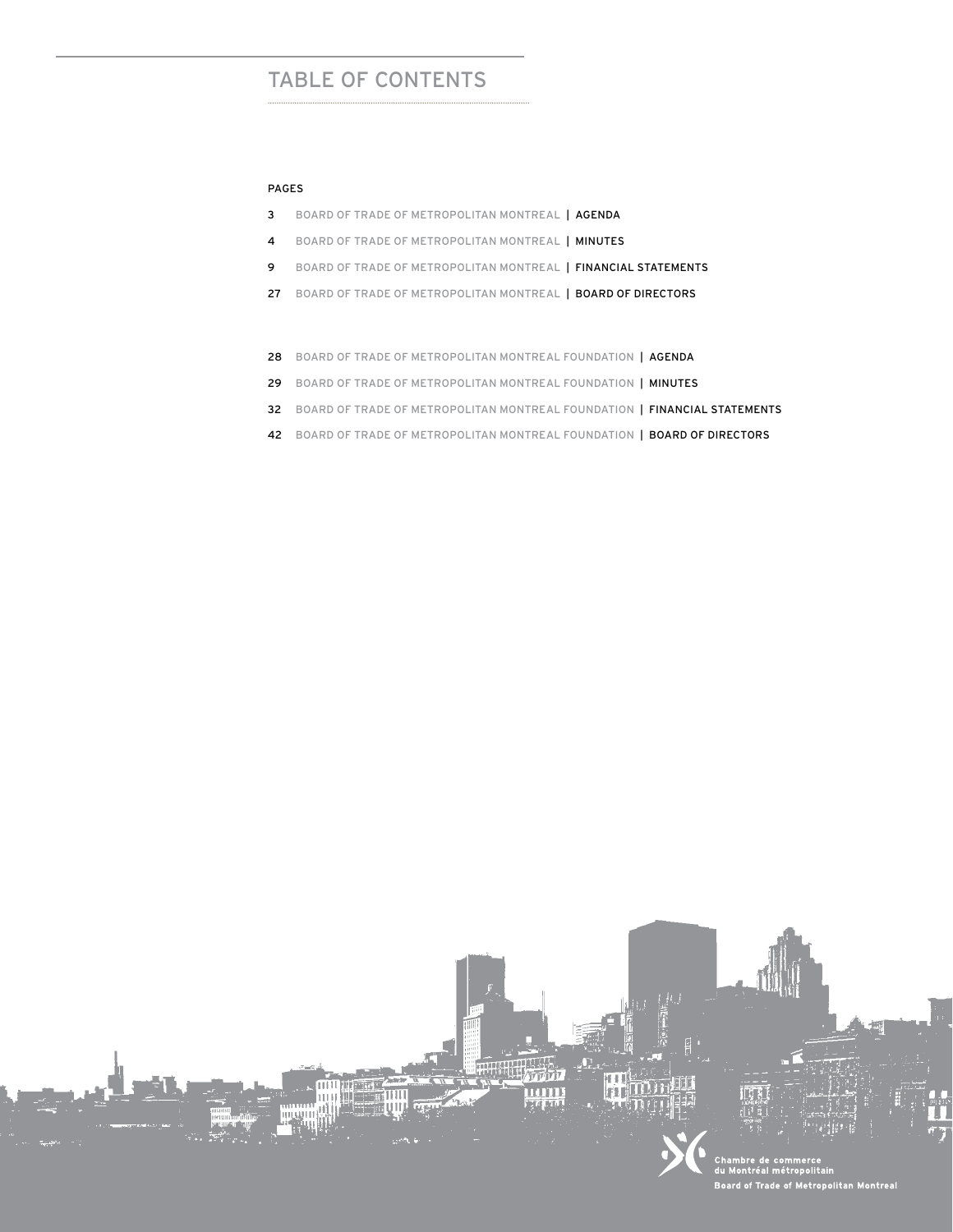# TABLE OF CONTENTS

.....................................................................................................................

#### Pages

- 3 BOARD OF TRADE OF METROPOLITAN MONTREAL | AGENDA
- 4 BOARD OF TRADE OF METROPOLITAN MONTREAL | MINUTES
- 9 BOARD OF TRADE OF METROPOLITAN MONTREAL | FINANCIAL STATEMENTS
- 27 BOARD OF TRADE OF METROPOLITAN MONTREAL | BOARD OF DIRECTORS
- 28 BOARD OF TRADE OF METROPOLITAN MONTREAL FOUNDATION | AGENDA
- 29 BOARD OF TRADE OF METROPOLITAN MONTREAL FOUNDATION | MINUTES
- 32 BOARD OF TRADE OF METROPOLITAN MONTREAL FOUNDATION | FINANCIAL STATEMENTS
- 42 BOARD OF TRADE OF METROPOLITAN MONTREAL FOUNDATION | BOARD OF DIRECTORS

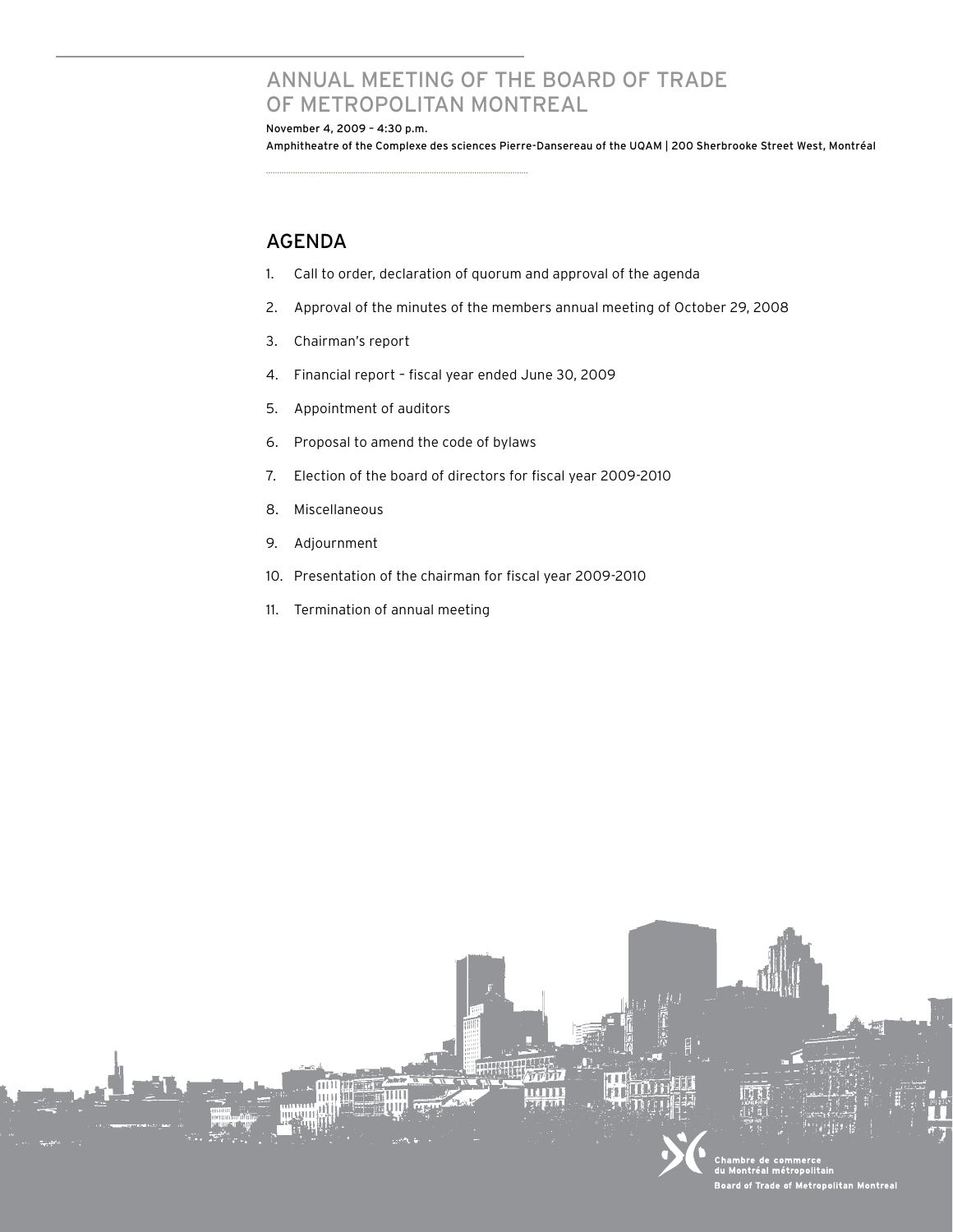# Annual meeting of the Board of Trade of metropolitan montreal

November 4, 2009 – 4:30 p.m. Amphitheatre of the Complexe des sciences Pierre-Dansereau of the UQAM | 200 Sherbrooke Street West, Montréal

## **AGENDA**

- 1. Call to order, declaration of quorum and approval of the agenda
- 2. Approval of the minutes of the members annual meeting of October 29, 2008
- 3. Chairman's report
- 4. Financial report fiscal year ended June 30, 2009
- 5. Appointment of auditors
- 6. Proposal to amend the code of bylaws

.....................................................................................................................

- 7. Election of the board of directors for fiscal year 2009-2010
- 8. Miscellaneous
- 9. Adjournment
- 10. Presentation of the chairman for fiscal year 2009-2010
- 11. Termination of annual meeting

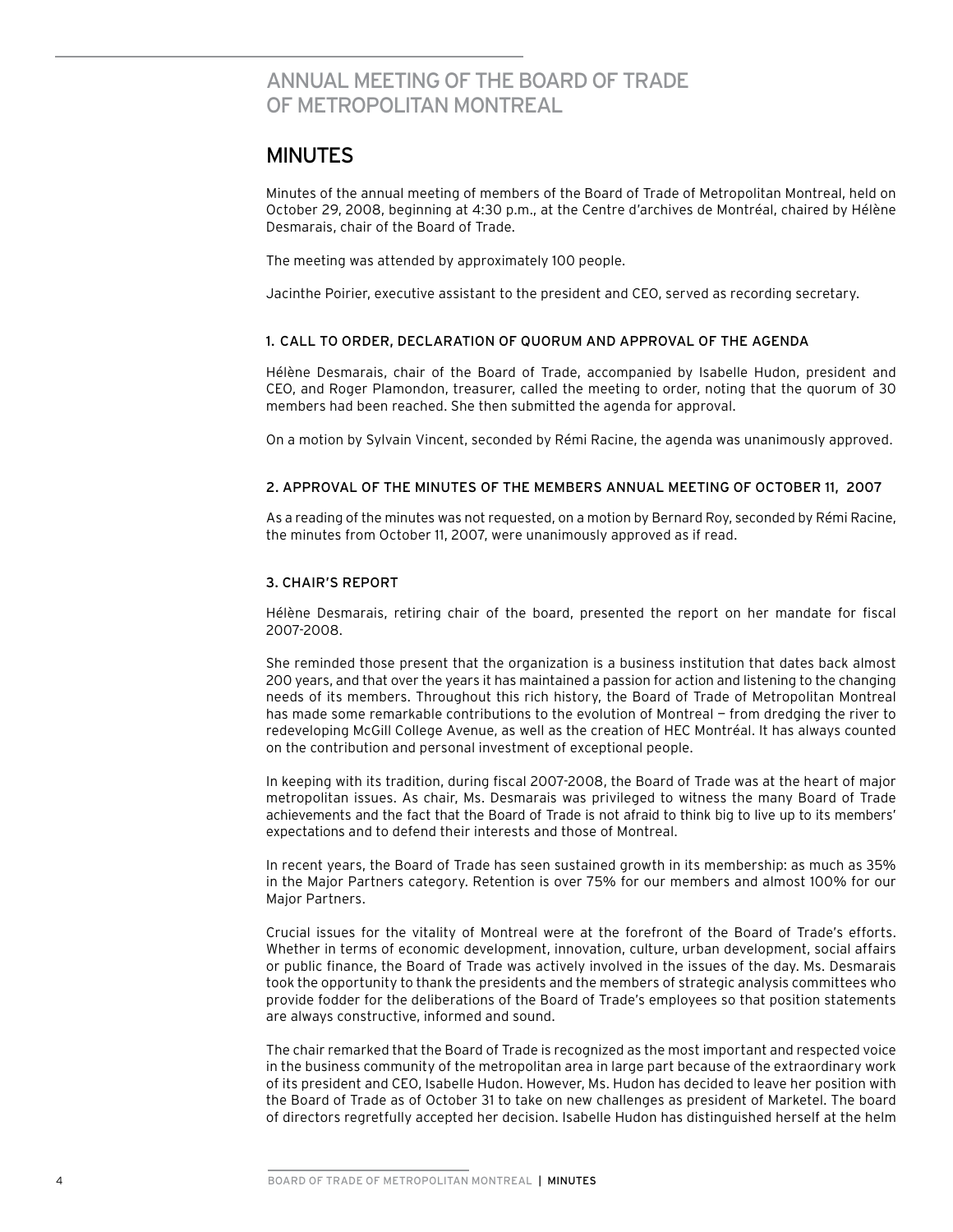# ANNUAL MEETING OF The Board of Trade of MeTROPOLITAN MONTREAL

## **MINUTES**

Minutes of the annual meeting of members of the Board of Trade of Metropolitan Montreal, held on October 29, 2008, beginning at 4:30 p.m., at the Centre d'archives de Montréal, chaired by Hélène Desmarais, chair of the Board of Trade.

The meeting was attended by approximately 100 people.

Jacinthe Poirier, executive assistant to the president and CEO, served as recording secretary.

#### 1. CALL TO ORDER, DECLARATION OF QUORUM AND APPROVAL OF THE AGENDA

Hélène Desmarais, chair of the Board of Trade, accompanied by Isabelle Hudon, president and CEO, and Roger Plamondon, treasurer, called the meeting to order, noting that the quorum of 30 members had been reached. She then submitted the agenda for approval.

On a motion by Sylvain Vincent, seconded by Rémi Racine, the agenda was unanimously approved.

#### 2. APPROVAL OF THE MINUTES OF THE MEMBERS ANNUAL MEETING OF OCTOBER 11, 2007

As a reading of the minutes was not requested, on a motion by Bernard Roy, seconded by Rémi Racine, the minutes from October 11, 2007, were unanimously approved as if read.

#### 3. CHAIR'S REPORT

Hélène Desmarais, retiring chair of the board, presented the report on her mandate for fiscal 2007-2008.

She reminded those present that the organization is a business institution that dates back almost 200 years, and that over the years it has maintained a passion for action and listening to the changing needs of its members. Throughout this rich history, the Board of Trade of Metropolitan Montreal has made some remarkable contributions to the evolution of Montreal — from dredging the river to redeveloping McGill College Avenue, as well as the creation of HEC Montréal. It has always counted on the contribution and personal investment of exceptional people.

In keeping with its tradition, during fiscal 2007-2008, the Board of Trade was at the heart of major metropolitan issues. As chair, Ms. Desmarais was privileged to witness the many Board of Trade achievements and the fact that the Board of Trade is not afraid to think big to live up to its members' expectations and to defend their interests and those of Montreal.

In recent years, the Board of Trade has seen sustained growth in its membership: as much as 35% in the Major Partners category. Retention is over 75% for our members and almost 100% for our Major Partners.

Crucial issues for the vitality of Montreal were at the forefront of the Board of Trade's efforts. Whether in terms of economic development, innovation, culture, urban development, social affairs or public finance, the Board of Trade was actively involved in the issues of the day. Ms. Desmarais took the opportunity to thank the presidents and the members of strategic analysis committees who provide fodder for the deliberations of the Board of Trade's employees so that position statements are always constructive, informed and sound.

The chair remarked that the Board of Trade is recognized as the most important and respected voice in the business community of the metropolitan area in large part because of the extraordinary work of its president and CEO, Isabelle Hudon. However, Ms. Hudon has decided to leave her position with the Board of Trade as of October 31 to take on new challenges as president of Marketel. The board of directors regretfully accepted her decision. Isabelle Hudon has distinguished herself at the helm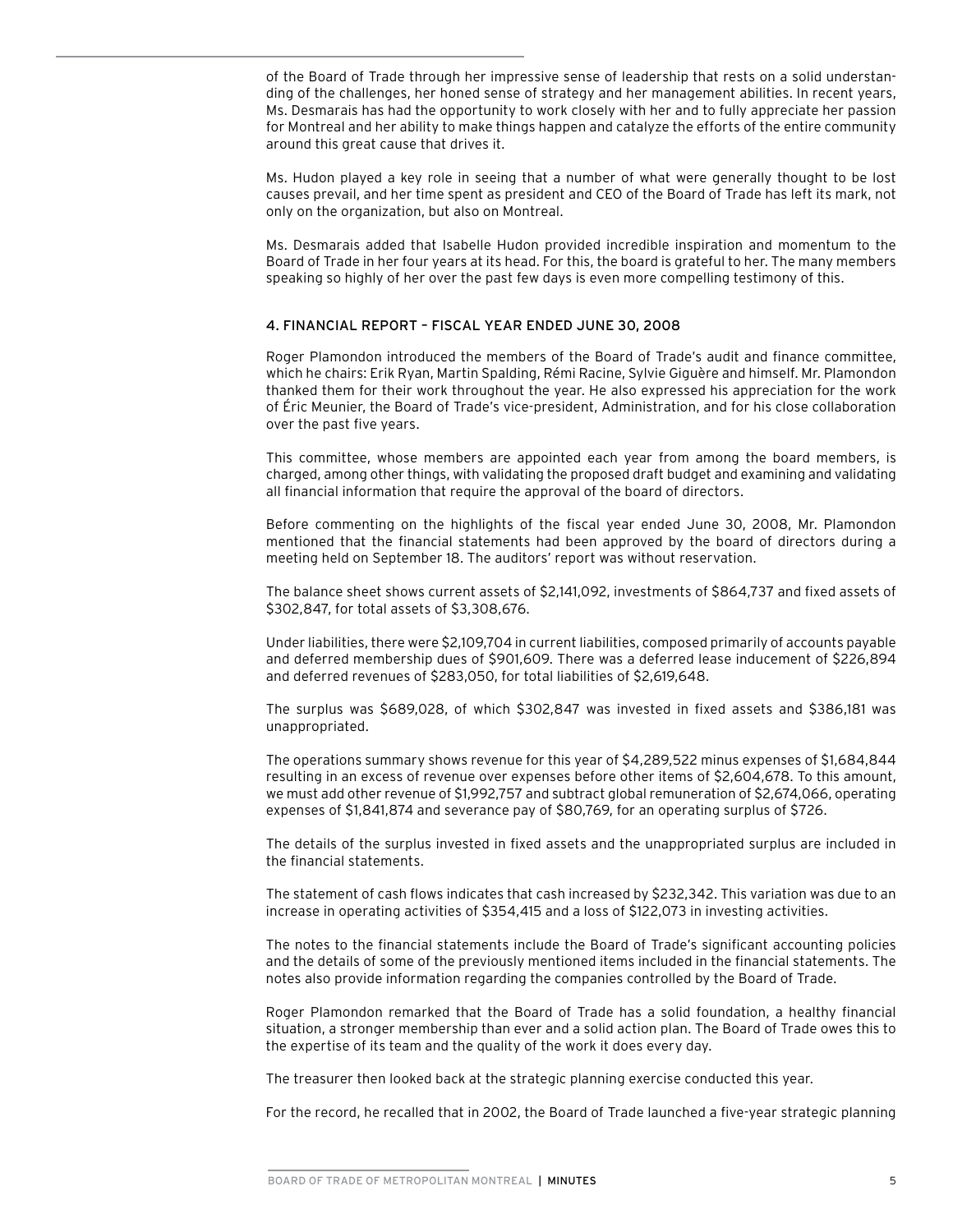of the Board of Trade through her impressive sense of leadership that rests on a solid understanding of the challenges, her honed sense of strategy and her management abilities. In recent years, Ms. Desmarais has had the opportunity to work closely with her and to fully appreciate her passion for Montreal and her ability to make things happen and catalyze the efforts of the entire community around this great cause that drives it.

Ms. Hudon played a key role in seeing that a number of what were generally thought to be lost causes prevail, and her time spent as president and CEO of the Board of Trade has left its mark, not only on the organization, but also on Montreal.

Ms. Desmarais added that Isabelle Hudon provided incredible inspiration and momentum to the Board of Trade in her four years at its head. For this, the board is grateful to her. The many members speaking so highly of her over the past few days is even more compelling testimony of this.

#### 4. FINANCIAL REPORT – FISCAL YEAR ENDED JUNE 30, 2008

Roger Plamondon introduced the members of the Board of Trade's audit and finance committee, which he chairs: Erik Ryan, Martin Spalding, Rémi Racine, Sylvie Giguère and himself. Mr. Plamondon thanked them for their work throughout the year. He also expressed his appreciation for the work of Éric Meunier, the Board of Trade's vice-president, Administration, and for his close collaboration over the past five years.

This committee, whose members are appointed each year from among the board members, is charged, among other things, with validating the proposed draft budget and examining and validating all financial information that require the approval of the board of directors.

Before commenting on the highlights of the fiscal year ended June 30, 2008, Mr. Plamondon mentioned that the financial statements had been approved by the board of directors during a meeting held on September 18. The auditors' report was without reservation.

The balance sheet shows current assets of \$2,141,092, investments of \$864,737 and fixed assets of \$302,847, for total assets of \$3,308,676.

Under liabilities, there were \$2,109,704 in current liabilities, composed primarily of accounts payable and deferred membership dues of \$901,609. There was a deferred lease inducement of \$226,894 and deferred revenues of \$283,050, for total liabilities of \$2,619,648.

The surplus was \$689,028, of which \$302,847 was invested in fixed assets and \$386,181 was unappropriated.

The operations summary shows revenue for this year of \$4,289,522 minus expenses of \$1,684,844 resulting in an excess of revenue over expenses before other items of \$2,604,678. To this amount, we must add other revenue of \$1,992,757 and subtract global remuneration of \$2,674,066, operating expenses of \$1,841,874 and severance pay of \$80,769, for an operating surplus of \$726.

The details of the surplus invested in fixed assets and the unappropriated surplus are included in the financial statements.

The statement of cash flows indicates that cash increased by \$232,342. This variation was due to an increase in operating activities of \$354,415 and a loss of \$122,073 in investing activities.

The notes to the financial statements include the Board of Trade's significant accounting policies and the details of some of the previously mentioned items included in the financial statements. The notes also provide information regarding the companies controlled by the Board of Trade.

Roger Plamondon remarked that the Board of Trade has a solid foundation, a healthy financial situation, a stronger membership than ever and a solid action plan. The Board of Trade owes this to the expertise of its team and the quality of the work it does every day.

The treasurer then looked back at the strategic planning exercise conducted this year.

For the record, he recalled that in 2002, the Board of Trade launched a five-year strategic planning

BOARD OF TRADE OF METROPOLITAN MONTREAL | MINUTES 5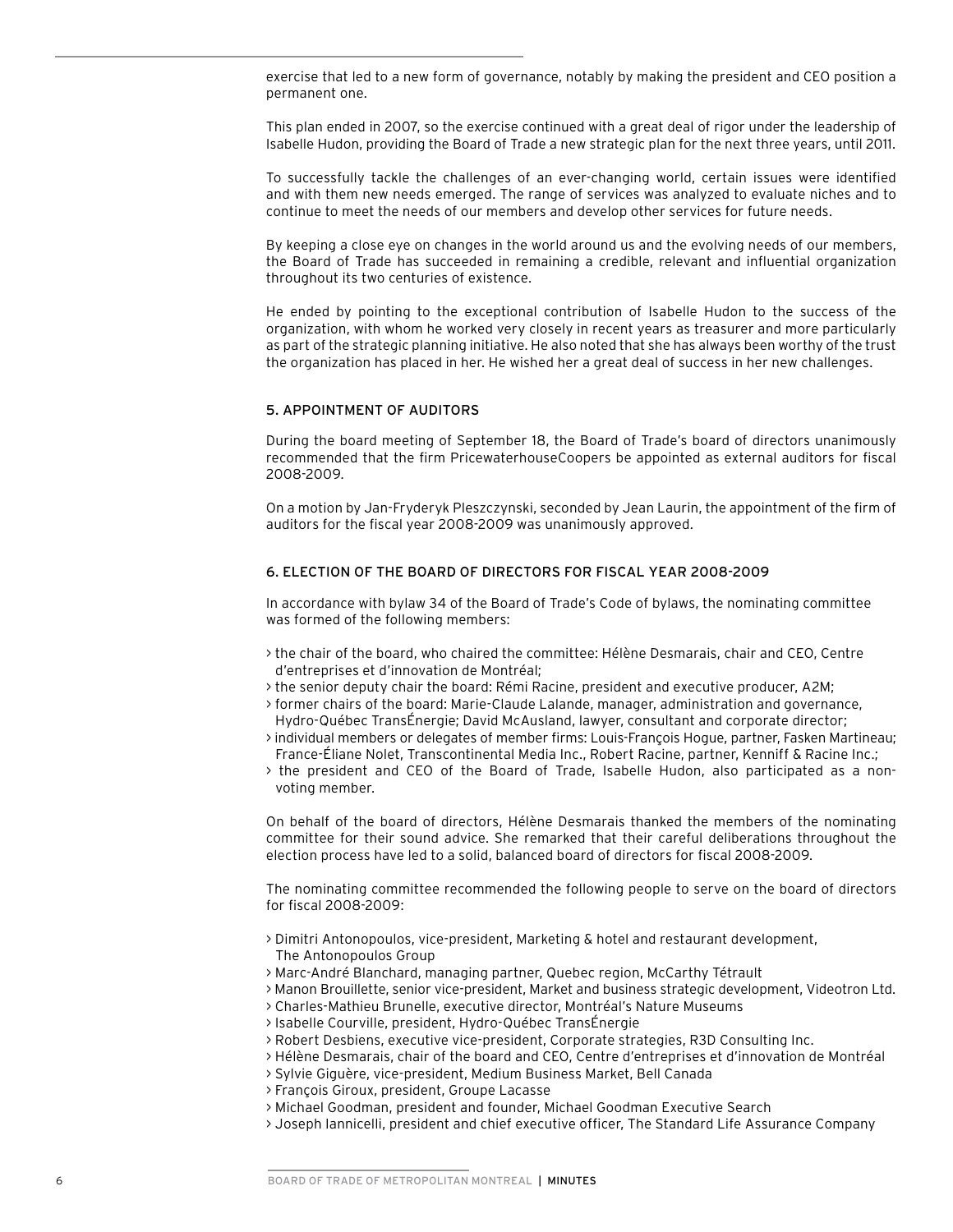exercise that led to a new form of governance, notably by making the president and CEO position a permanent one.

This plan ended in 2007, so the exercise continued with a great deal of rigor under the leadership of Isabelle Hudon, providing the Board of Trade a new strategic plan for the next three years, until 2011.

To successfully tackle the challenges of an ever-changing world, certain issues were identified and with them new needs emerged. The range of services was analyzed to evaluate niches and to continue to meet the needs of our members and develop other services for future needs.

By keeping a close eye on changes in the world around us and the evolving needs of our members, the Board of Trade has succeeded in remaining a credible, relevant and influential organization throughout its two centuries of existence.

He ended by pointing to the exceptional contribution of Isabelle Hudon to the success of the organization, with whom he worked very closely in recent years as treasurer and more particularly as part of the strategic planning initiative. He also noted that she has always been worthy of the trust the organization has placed in her. He wished her a great deal of success in her new challenges.

#### 5. APPOINTMENT OF AUDITORS

During the board meeting of September 18, the Board of Trade's board of directors unanimously recommended that the firm PricewaterhouseCoopers be appointed as external auditors for fiscal 2008-2009.

On a motion by Jan-Fryderyk Pleszczynski, seconded by Jean Laurin, the appointment of the firm of auditors for the fiscal year 2008-2009 was unanimously approved.

#### 6. ELECTION OF THE BOARD OF DIRECTORS FOR FISCAL YEAR 2008-2009

In accordance with bylaw 34 of the Board of Trade's Code of bylaws, the nominating committee was formed of the following members:

- > the chair of the board, who chaired the committee: Hélène Desmarais, chair and CEO, Centre d'entreprises et d'innovation de Montréal;
- > the senior deputy chair the board: Rémi Racine, president and executive producer, A2M;
- > former chairs of the board: Marie-Claude Lalande, manager, administration and governance, Hydro-Québec TransÉnergie; David McAusland, lawyer, consultant and corporate director;
- > individual members or delegates of member firms: Louis-François Hogue, partner, Fasken Martineau; France-Éliane Nolet, Transcontinental Media Inc., Robert Racine, partner, Kenniff & Racine Inc.;
- > the president and CEO of the Board of Trade, Isabelle Hudon, also participated as a non- voting member.

On behalf of the board of directors, Hélène Desmarais thanked the members of the nominating committee for their sound advice. She remarked that their careful deliberations throughout the election process have led to a solid, balanced board of directors for fiscal 2008-2009.

The nominating committee recommended the following people to serve on the board of directors for fiscal 2008-2009:

- > Dimitri Antonopoulos, vice-president, Marketing & hotel and restaurant development, The Antonopoulos Group
- > Marc-André Blanchard, managing partner, Quebec region, McCarthy Tétrault
- > Manon Brouillette, senior vice-president, Market and business strategic development, Videotron Ltd.
- > Charles-Mathieu Brunelle, executive director, Montréal's Nature Museums
- > Isabelle Courville, president, Hydro-Québec TransÉnergie
- > Robert Desbiens, executive vice-president, Corporate strategies, R3D Consulting Inc.
- > Hélène Desmarais, chair of the board and CEO, Centre d'entreprises et d'innovation de Montréal
- > Sylvie Giguère, vice-president, Medium Business Market, Bell Canada
- > François Giroux, president, Groupe Lacasse
- > Michael Goodman, president and founder, Michael Goodman Executive Search
- > Joseph Iannicelli, president and chief executive officer, The Standard Life Assurance Company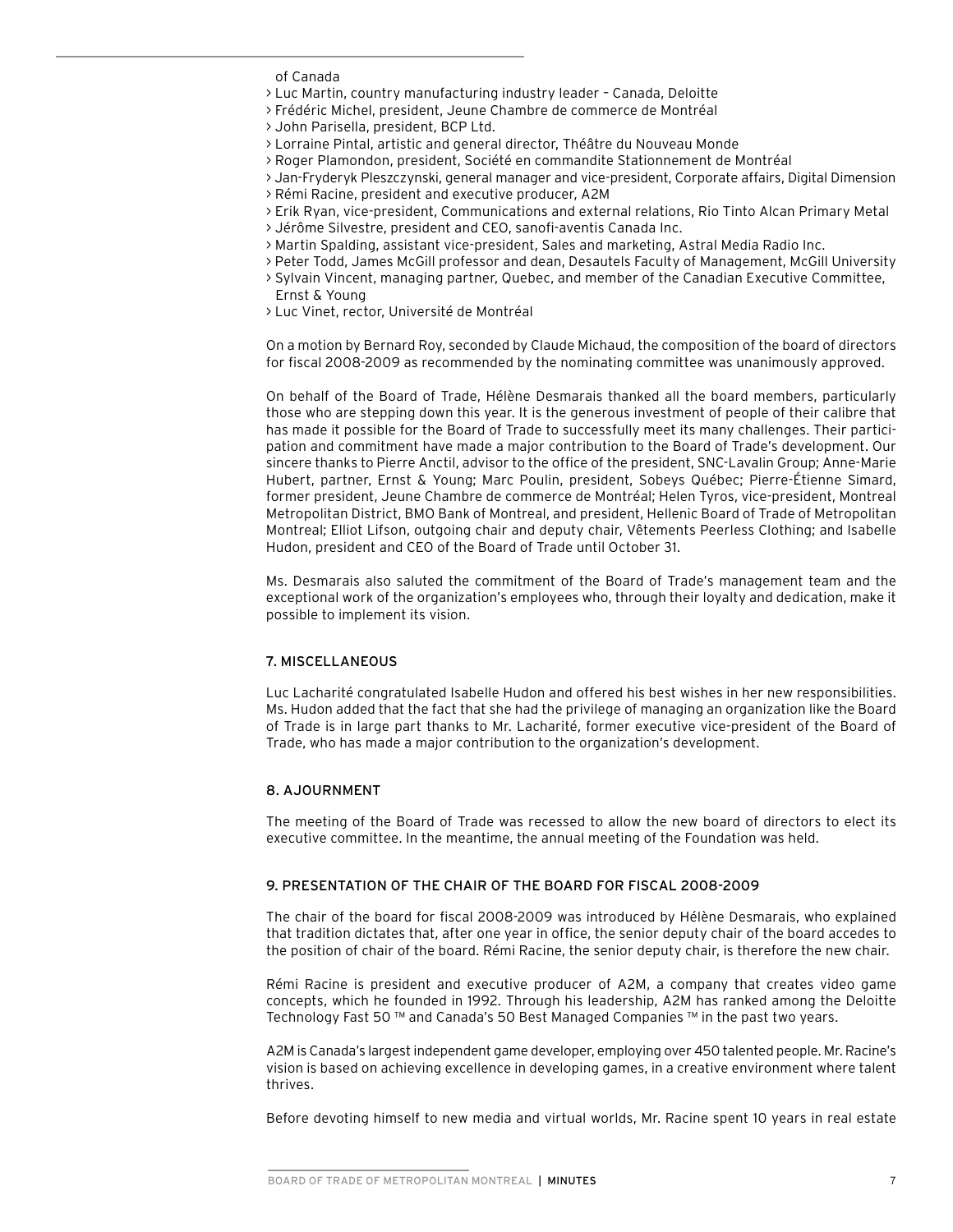of Canada

> Luc Martin, country manufacturing industry leader – Canada, Deloitte

> Frédéric Michel, president, Jeune Chambre de commerce de Montréal

- > John Parisella, president, BCP Ltd.
- > Lorraine Pintal, artistic and general director, Théâtre du Nouveau Monde
- > Roger Plamondon, president, Société en commandite Stationnement de Montréal
- > Jan-Fryderyk Pleszczynski, general manager and vice-president, Corporate affairs, Digital Dimension
- > Rémi Racine, president and executive producer, A2M
- > Erik Ryan, vice-president, Communications and external relations, Rio Tinto Alcan Primary Metal
- > Jérôme Silvestre, president and CEO, sanofi-aventis Canada Inc.
- > Martin Spalding, assistant vice-president, Sales and marketing, Astral Media Radio Inc.
- > Peter Todd, James McGill professor and dean, Desautels Faculty of Management, McGill University
- > Sylvain Vincent, managing partner, Quebec, and member of the Canadian Executive Committee, Ernst & Young
- > Luc Vinet, rector, Université de Montréal

On a motion by Bernard Roy, seconded by Claude Michaud, the composition of the board of directors for fiscal 2008-2009 as recommended by the nominating committee was unanimously approved.

On behalf of the Board of Trade, Hélène Desmarais thanked all the board members, particularly those who are stepping down this year. It is the generous investment of people of their calibre that has made it possible for the Board of Trade to successfully meet its many challenges. Their participation and commitment have made a major contribution to the Board of Trade's development. Our sincere thanks to Pierre Anctil, advisor to the office of the president, SNC-Lavalin Group; Anne-Marie Hubert, partner, Ernst & Young; Marc Poulin, president, Sobeys Québec; Pierre-Étienne Simard, former president, Jeune Chambre de commerce de Montréal; Helen Tyros, vice-president, Montreal Metropolitan District, BMO Bank of Montreal, and president, Hellenic Board of Trade of Metropolitan Montreal; Elliot Lifson, outgoing chair and deputy chair, Vêtements Peerless Clothing; and Isabelle Hudon, president and CEO of the Board of Trade until October 31.

Ms. Desmarais also saluted the commitment of the Board of Trade's management team and the exceptional work of the organization's employees who, through their loyalty and dedication, make it possible to implement its vision.

#### 7. MISCELLANEOUS

Luc Lacharité congratulated Isabelle Hudon and offered his best wishes in her new responsibilities. Ms. Hudon added that the fact that she had the privilege of managing an organization like the Board of Trade is in large part thanks to Mr. Lacharité, former executive vice-president of the Board of Trade, who has made a major contribution to the organization's development.

#### 8. AJOURNMENT

The meeting of the Board of Trade was recessed to allow the new board of directors to elect its executive committee. In the meantime, the annual meeting of the Foundation was held.

#### 9. PRESENTATION OF THE CHAIR OF THE BOARD FOR FISCAL 2008-2009

The chair of the board for fiscal 2008-2009 was introduced by Hélène Desmarais, who explained that tradition dictates that, after one year in office, the senior deputy chair of the board accedes to the position of chair of the board. Rémi Racine, the senior deputy chair, is therefore the new chair.

Rémi Racine is president and executive producer of A2M, a company that creates video game concepts, which he founded in 1992. Through his leadership, A2M has ranked among the Deloitte Technology Fast 50 ™ and Canada's 50 Best Managed Companies ™ in the past two years.

A2M is Canada's largestindependent game developer, employing over 450 talented people. Mr. Racine's vision is based on achieving excellence in developing games, in a creative environment where talent thrives.

Before devoting himself to new media and virtual worlds, Mr. Racine spent 10 years in real estate

BOARD OF TRADE OF METROPOLITAN MONTREAL | MINUTES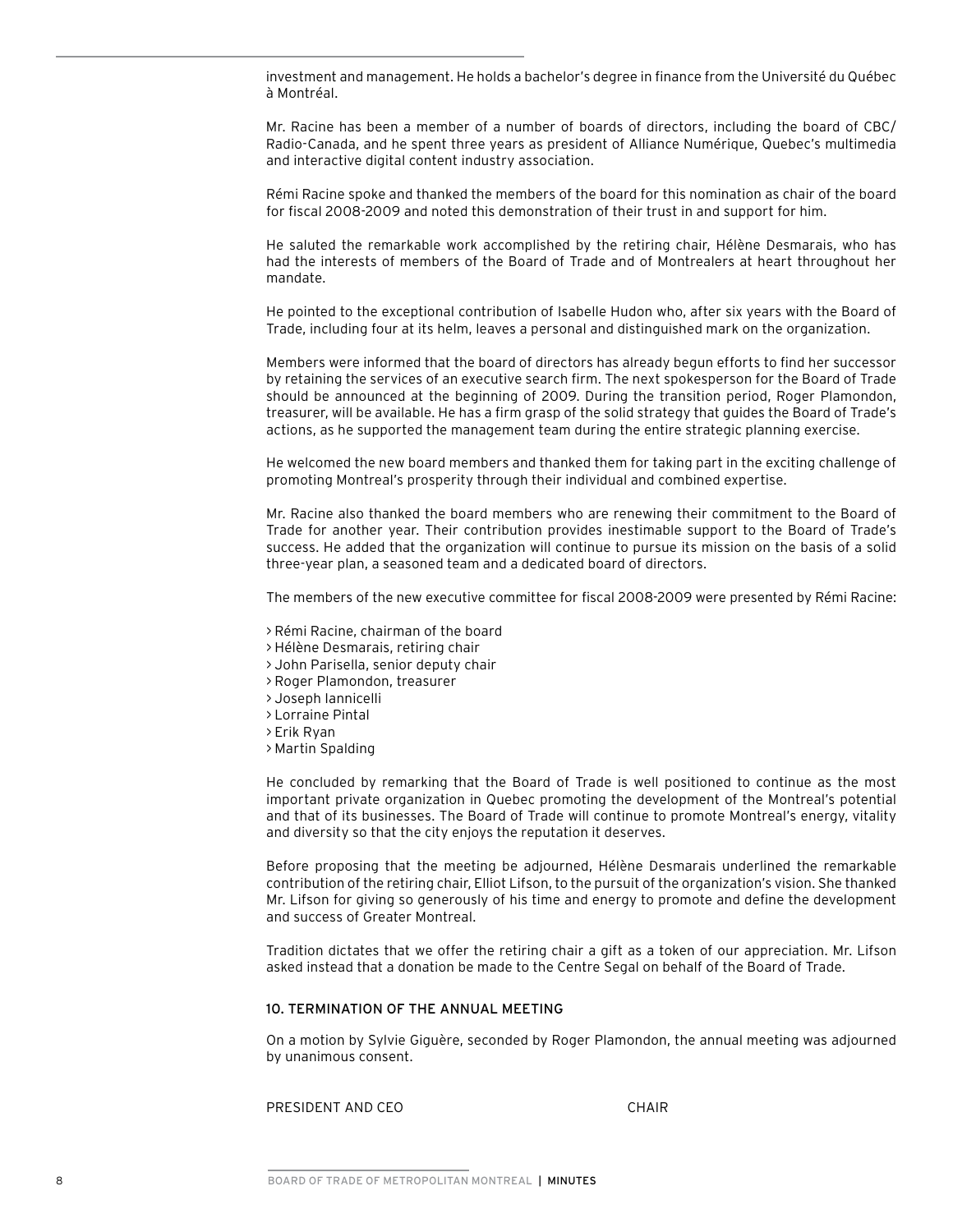investment and management. He holds a bachelor's degree in finance from the Université du Québec à Montréal.

Mr. Racine has been a member of a number of boards of directors, including the board of CBC/ Radio-Canada, and he spent three years as president of Alliance Numérique, Quebec's multimedia and interactive digital content industry association.

Rémi Racine spoke and thanked the members of the board for this nomination as chair of the board for fiscal 2008-2009 and noted this demonstration of their trust in and support for him.

He saluted the remarkable work accomplished by the retiring chair, Hélène Desmarais, who has had the interests of members of the Board of Trade and of Montrealers at heart throughout her mandate.

He pointed to the exceptional contribution of Isabelle Hudon who, after six years with the Board of Trade, including four at its helm, leaves a personal and distinguished mark on the organization.

Members were informed that the board of directors has already begun efforts to find her successor by retaining the services of an executive search firm. The next spokesperson for the Board of Trade should be announced at the beginning of 2009. During the transition period, Roger Plamondon, treasurer, will be available. He has a firm grasp of the solid strategy that guides the Board of Trade's actions, as he supported the management team during the entire strategic planning exercise.

He welcomed the new board members and thanked them for taking part in the exciting challenge of promoting Montreal's prosperity through their individual and combined expertise.

Mr. Racine also thanked the board members who are renewing their commitment to the Board of Trade for another year. Their contribution provides inestimable support to the Board of Trade's success. He added that the organization will continue to pursue its mission on the basis of a solid three-year plan, a seasoned team and a dedicated board of directors.

The members of the new executive committee for fiscal 2008-2009 were presented by Rémi Racine:

- > Rémi Racine, chairman of the board
- > Hélène Desmarais, retiring chair
- > John Parisella, senior deputy chair
- > Roger Plamondon, treasurer
- > Joseph Iannicelli
- > Lorraine Pintal
- > Erik Ryan
- > Martin Spalding

He concluded by remarking that the Board of Trade is well positioned to continue as the most important private organization in Quebec promoting the development of the Montreal's potential and that of its businesses. The Board of Trade will continue to promote Montreal's energy, vitality and diversity so that the city enjoys the reputation it deserves.

Before proposing that the meeting be adjourned, Hélène Desmarais underlined the remarkable contribution of the retiring chair, Elliot Lifson, to the pursuit of the organization's vision. She thanked Mr. Lifson for giving so generously of his time and energy to promote and define the development and success of Greater Montreal.

Tradition dictates that we offer the retiring chair a gift as a token of our appreciation. Mr. Lifson asked instead that a donation be made to the Centre Segal on behalf of the Board of Trade.

#### 10. TERMINATION OF THE ANNUAL MEETING

On a motion by Sylvie Giguère, seconded by Roger Plamondon, the annual meeting was adjourned by unanimous consent.

PRESIDENT AND CEO CHAIR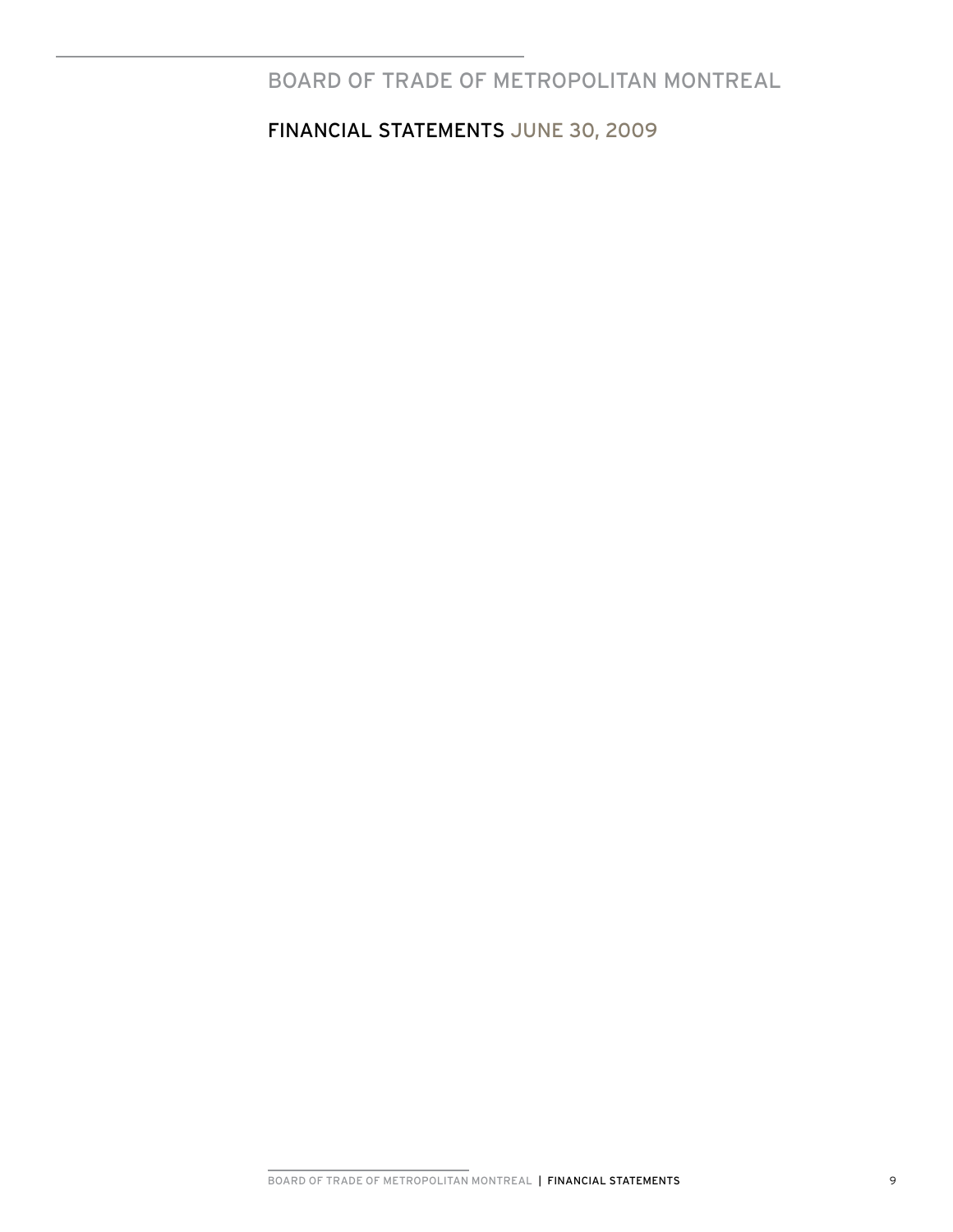# BOARD OF TRADE OF METROPOLITAN MONTREAL

financIAL STATEMENTS June 30, 2009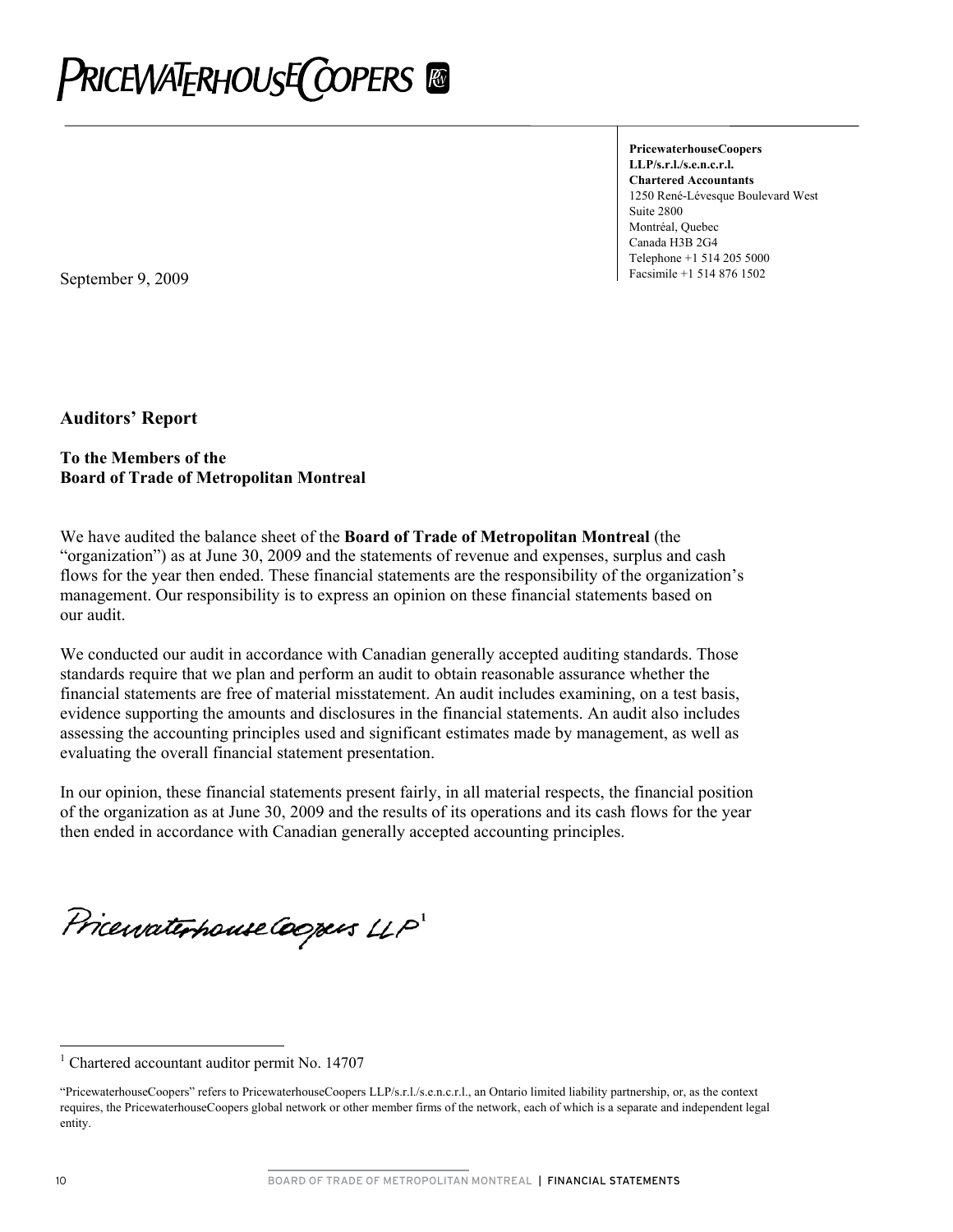

**PricewaterhouseCoopers LLP/s.r.l./s.e.n.c.r.l. Chartered Accountants**  1250 René-Lévesque Boulevard West Suite 2800 Montréal, Quebec Canada H3B 2G4 Telephone +1 514 205 5000

**September 9, 2009 Facsimile +1 514 876 1502** 

**Auditors' Report** 

### **To the Members of the Board of Trade of Metropolitan Montreal**

We have audited the balance sheet of the **Board of Trade of Metropolitan Montreal** (the "organization") as at June 30, 2009 and the statements of revenue and expenses, surplus and cash flows for the year then ended. These financial statements are the responsibility of the organization's management. Our responsibility is to express an opinion on these financial statements based on our audit.

We conducted our audit in accordance with Canadian generally accepted auditing standards. Those standards require that we plan and perform an audit to obtain reasonable assurance whether the financial statements are free of material misstatement. An audit includes examining, on a test basis, evidence supporting the amounts and disclosures in the financial statements. An audit also includes assessing the accounting principles used and significant estimates made by management, as well as evaluating the overall financial statement presentation.

In our opinion, these financial statements present fairly, in all material respects, the financial position of the organization as at June 30, 2009 and the results of its operations and its cash flows for the year then ended in accordance with Canadian generally accepted accounting principles.

PricewaterhouseCoopers LLP

 $\overline{a}$ 

<sup>1</sup> Chartered accountant auditor permit No. 14707

<sup>&</sup>quot;P ricewaterhouseCoopers" refers to PricewaterhouseCoopers LLP/s.r.l./s.e.n.c.r.l., an Ontario limited liability partnership, or, as the context re quires, the PricewaterhouseCoopers global network or other member firms of the network, each of which is a separate and independent legal entity.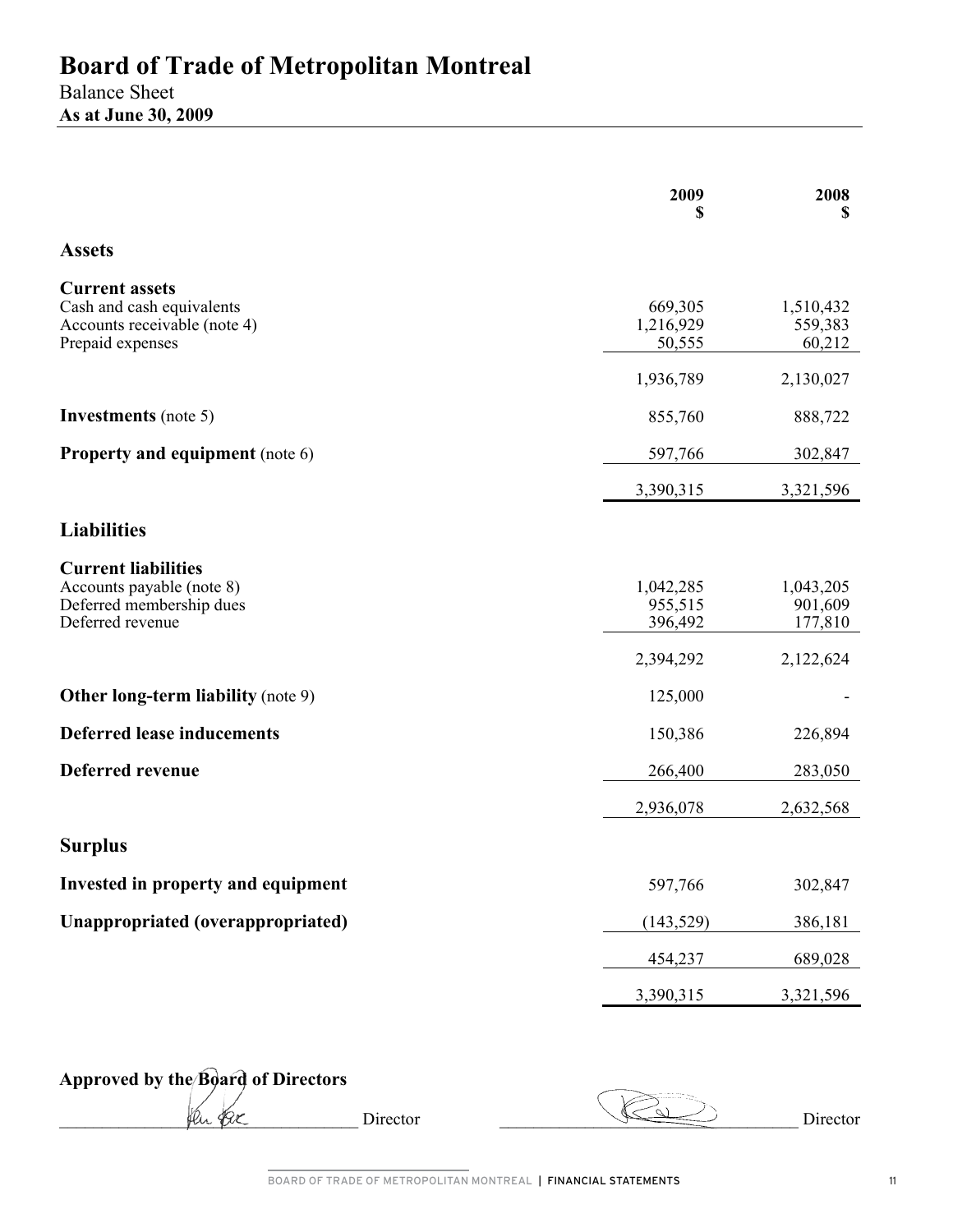## Balance Sheet **As at June 30, 2009**

|                                                                                                         | 2009<br>S                       | 2008<br>S                       |
|---------------------------------------------------------------------------------------------------------|---------------------------------|---------------------------------|
| <b>Assets</b>                                                                                           |                                 |                                 |
| <b>Current assets</b><br>Cash and cash equivalents<br>Accounts receivable (note 4)<br>Prepaid expenses  | 669,305<br>1,216,929<br>50,555  | 1,510,432<br>559,383<br>60,212  |
|                                                                                                         | 1,936,789                       | 2,130,027                       |
| <b>Investments</b> (note 5)                                                                             | 855,760                         | 888,722                         |
| <b>Property and equipment</b> (note 6)                                                                  | 597,766                         | 302,847                         |
|                                                                                                         | 3,390,315                       | 3,321,596                       |
| <b>Liabilities</b>                                                                                      |                                 |                                 |
| <b>Current liabilities</b><br>Accounts payable (note 8)<br>Deferred membership dues<br>Deferred revenue | 1,042,285<br>955,515<br>396,492 | 1,043,205<br>901,609<br>177,810 |
|                                                                                                         | 2,394,292                       | 2,122,624                       |
| <b>Other long-term liability (note 9)</b>                                                               | 125,000                         |                                 |
| <b>Deferred lease inducements</b>                                                                       | 150,386                         | 226,894                         |
| <b>Deferred revenue</b>                                                                                 | 266,400                         | 283,050                         |
|                                                                                                         | 2,936,078                       | 2,632,568                       |
| <b>Surplus</b>                                                                                          |                                 |                                 |
| Invested in property and equipment                                                                      | 597,766                         | 302,847                         |
| Unappropriated (overappropriated)                                                                       | (143, 529)                      | 386,181                         |
|                                                                                                         | 454,237                         | 689,028                         |
|                                                                                                         | 3,390,315                       | 3,321,596                       |

**Approved by the Board of Directors** 

\_\_\_\_\_\_\_\_\_\_\_\_\_\_\_\_\_\_\_\_\_\_\_\_\_\_\_\_\_\_\_\_\_\_\_ Director \_\_\_\_\_\_\_\_\_\_\_\_\_\_\_\_\_\_\_\_\_\_\_\_\_\_\_\_\_\_\_\_\_\_\_ Director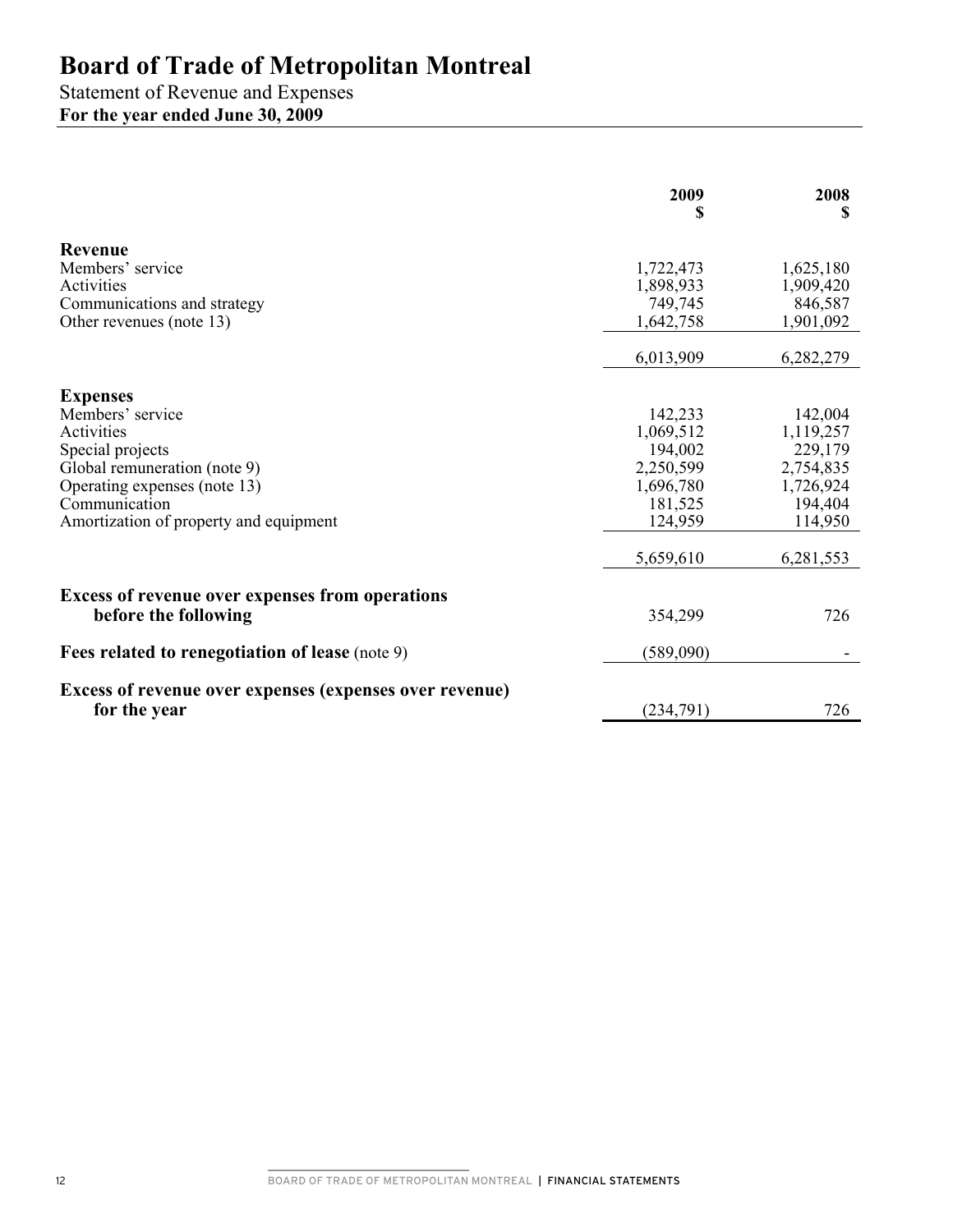Statement of Revenue and Expenses **For the year ended June 30, 2009** 

|                                                                                                                                                                                                  | 2009<br>S                                                                                    | 2008<br>S                                                                                    |
|--------------------------------------------------------------------------------------------------------------------------------------------------------------------------------------------------|----------------------------------------------------------------------------------------------|----------------------------------------------------------------------------------------------|
| Revenue<br>Members' service<br>Activities<br>Communications and strategy<br>Other revenues (note 13)                                                                                             | 1,722,473<br>1,898,933<br>749,745<br>1,642,758                                               | 1,625,180<br>1,909,420<br>846,587<br>1,901,092                                               |
|                                                                                                                                                                                                  | 6,013,909                                                                                    | 6,282,279                                                                                    |
| <b>Expenses</b><br>Members' service<br>Activities<br>Special projects<br>Global remuneration (note 9)<br>Operating expenses (note 13)<br>Communication<br>Amortization of property and equipment | 142,233<br>1,069,512<br>194,002<br>2,250,599<br>1,696,780<br>181,525<br>124,959<br>5,659,610 | 142,004<br>1,119,257<br>229,179<br>2,754,835<br>1,726,924<br>194,404<br>114,950<br>6,281,553 |
| <b>Excess of revenue over expenses from operations</b><br>before the following                                                                                                                   | 354,299                                                                                      | 726                                                                                          |
| Fees related to renegotiation of lease (note 9)                                                                                                                                                  | (589,090)                                                                                    |                                                                                              |
| <b>Excess of revenue over expenses (expenses over revenue)</b><br>for the year                                                                                                                   | (234,791)                                                                                    | 726                                                                                          |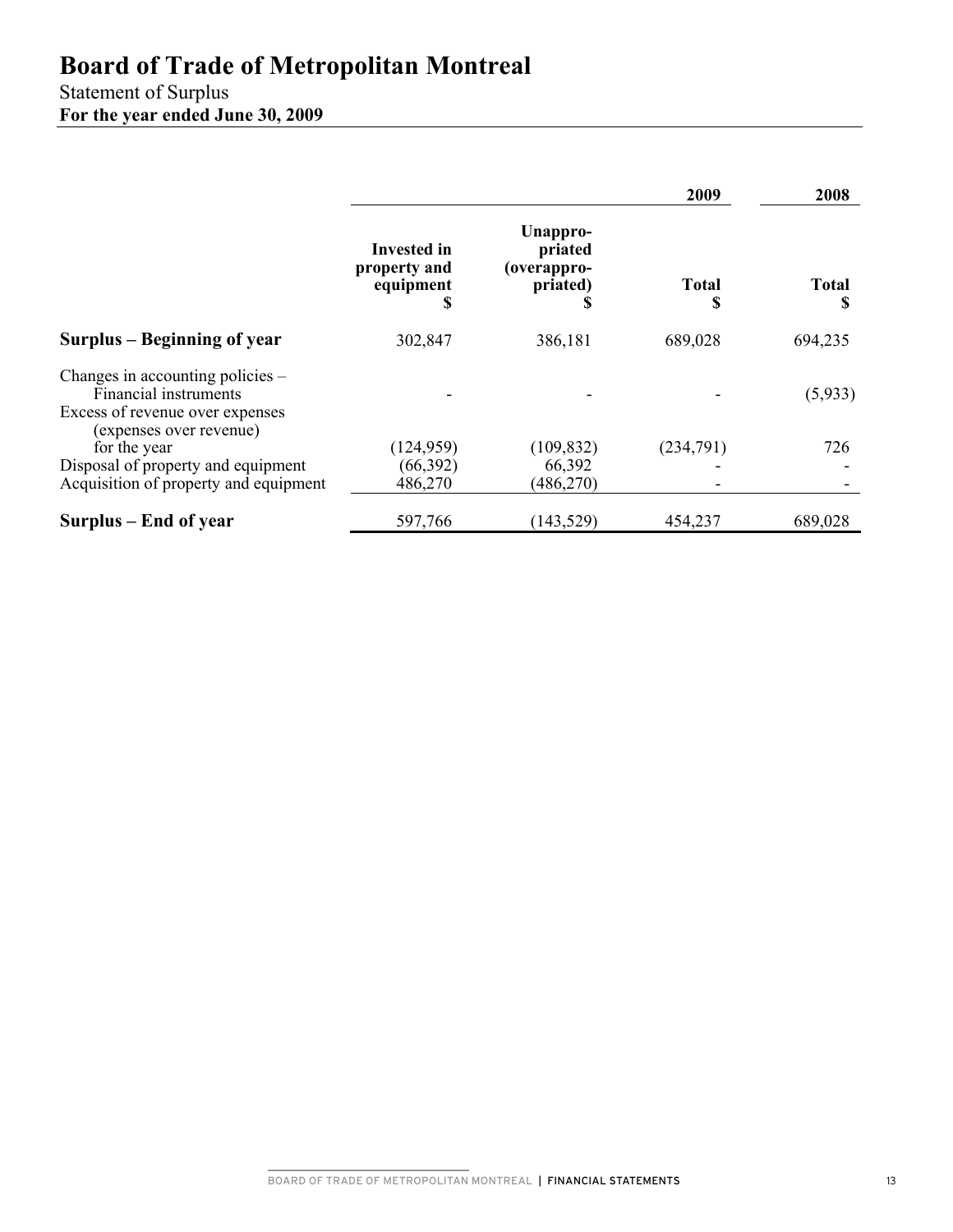# Statement of Surplus

**For the year ended June 30, 2009** 

|                                                                                              |                                               |                                                | 2009         | 2008              |
|----------------------------------------------------------------------------------------------|-----------------------------------------------|------------------------------------------------|--------------|-------------------|
|                                                                                              | Invested in<br>property and<br>equipment<br>ъ | Unappro-<br>priated<br>(overappro-<br>priated) | <b>Total</b> | <b>Total</b><br>S |
| Surplus – Beginning of year                                                                  | 302,847                                       | 386,181                                        | 689,028      | 694,235           |
| Changes in accounting policies -<br>Financial instruments<br>Excess of revenue over expenses |                                               |                                                |              | (5,933)           |
| (expenses over revenue)<br>for the year                                                      | (124, 959)                                    | (109, 832)                                     | (234,791)    | 726               |
| Disposal of property and equipment<br>Acquisition of property and equipment                  | (66, 392)<br>486,270                          | 66,392<br>(486, 270)                           |              |                   |
| Surplus – End of year                                                                        | 597,766                                       | (143, 529)                                     | 454,237      | 689,028           |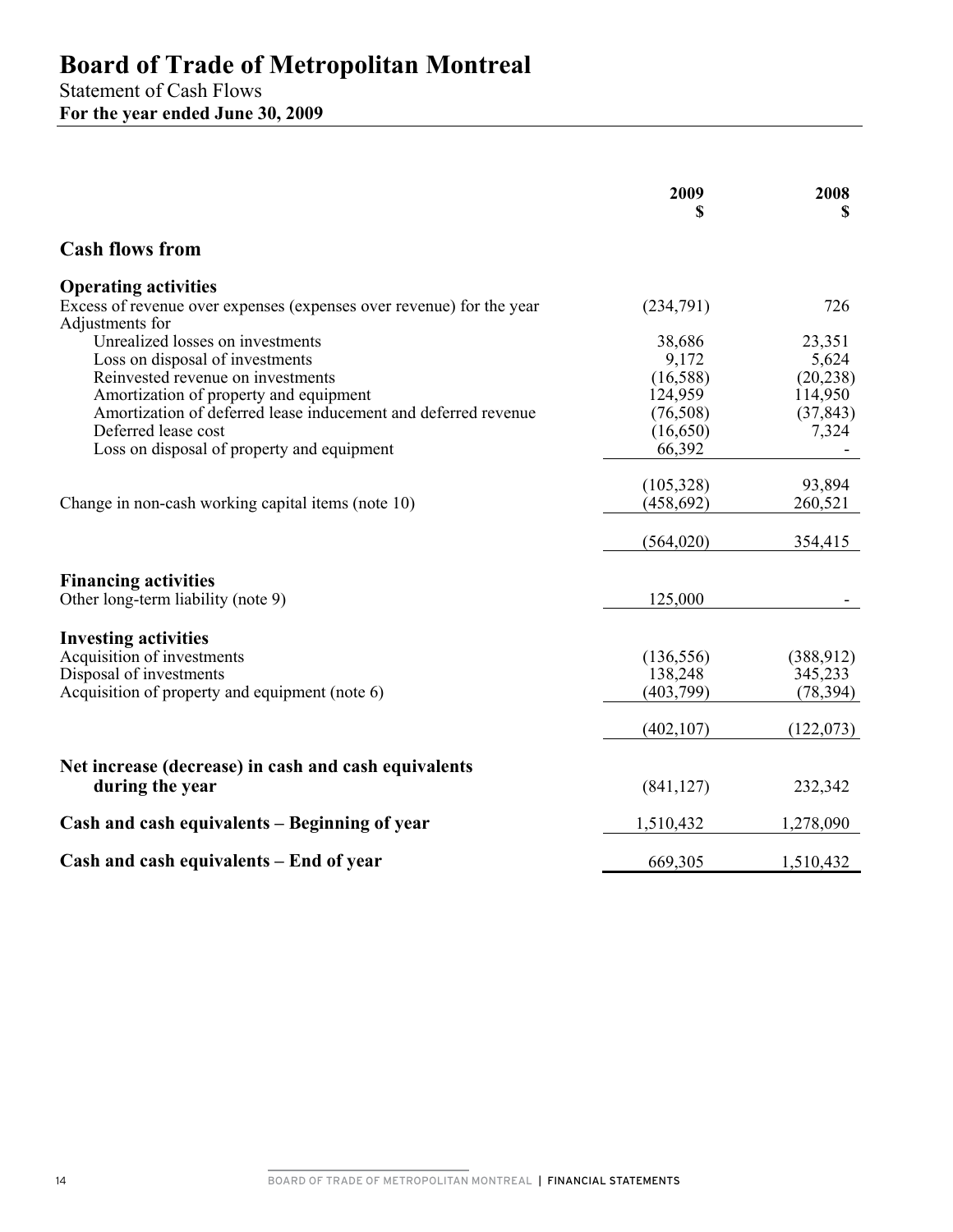Statement of Cash Flows **For the year ended June 30, 2009** 

|                                                                                                                                                                                                                                                                                           | 2009<br>S                                                                 | 2008<br>S                                                     |
|-------------------------------------------------------------------------------------------------------------------------------------------------------------------------------------------------------------------------------------------------------------------------------------------|---------------------------------------------------------------------------|---------------------------------------------------------------|
| <b>Cash flows from</b>                                                                                                                                                                                                                                                                    |                                                                           |                                                               |
| <b>Operating activities</b><br>Excess of revenue over expenses (expenses over revenue) for the year<br>Adjustments for                                                                                                                                                                    | (234,791)                                                                 | 726                                                           |
| Unrealized losses on investments<br>Loss on disposal of investments<br>Reinvested revenue on investments<br>Amortization of property and equipment<br>Amortization of deferred lease inducement and deferred revenue<br>Deferred lease cost<br>Loss on disposal of property and equipment | 38,686<br>9,172<br>(16, 588)<br>124,959<br>(76,508)<br>(16,650)<br>66,392 | 23,351<br>5,624<br>(20, 238)<br>114,950<br>(37, 843)<br>7,324 |
| Change in non-cash working capital items (note 10)                                                                                                                                                                                                                                        | (105, 328)<br>(458, 692)<br>(564, 020)                                    | 93,894<br>260,521<br>354,415                                  |
| <b>Financing activities</b><br>Other long-term liability (note 9)                                                                                                                                                                                                                         | 125,000                                                                   |                                                               |
| <b>Investing activities</b><br>Acquisition of investments<br>Disposal of investments<br>Acquisition of property and equipment (note 6)                                                                                                                                                    | (136, 556)<br>138,248<br>(403, 799)                                       | (388, 912)<br>345,233<br>(78, 394)                            |
| Net increase (decrease) in cash and cash equivalents<br>during the year                                                                                                                                                                                                                   | (402, 107)<br>(841, 127)                                                  | (122, 073)<br>232,342                                         |
| Cash and cash equivalents – Beginning of year                                                                                                                                                                                                                                             | 1,510,432                                                                 | 1,278,090                                                     |
| Cash and cash equivalents – End of year                                                                                                                                                                                                                                                   | 669,305                                                                   | 1,510,432                                                     |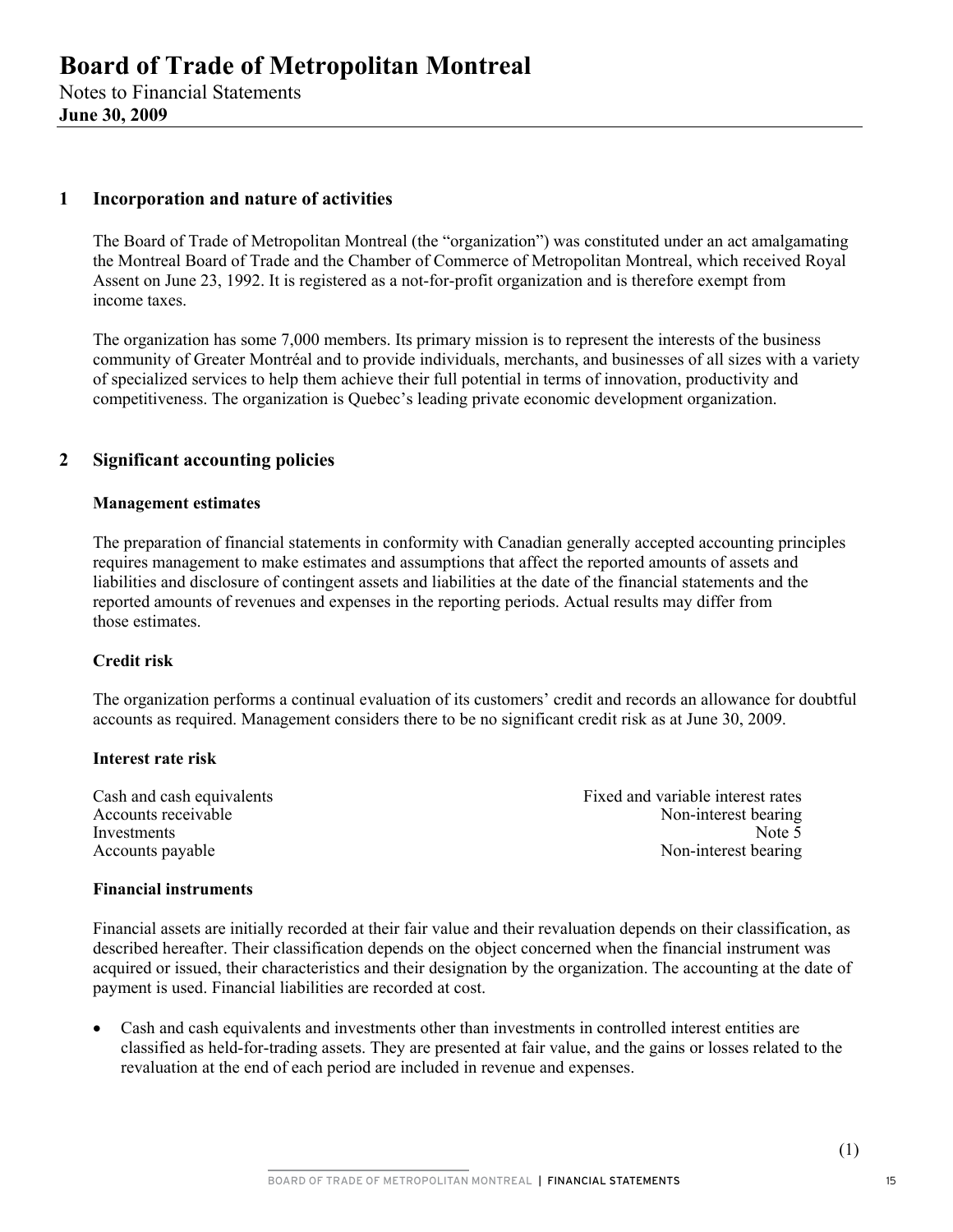Notes to Financial Statements **June 30, 2009** 

### **1 Incorporation and nature of activities**

The Board of Trade of Metropolitan Montreal (the "organization") was constituted under an act amalgamating the Montreal Board of Trade and the Chamber of Commerce of Metropolitan Montreal, which received Royal Assent on June 23, 1992. It is registered as a not-for-profit organization and is therefore exempt from income taxes.

The organization has some 7,000 members. Its primary mission is to represent the interests of the business community of Greater Montréal and to provide individuals, merchants, and businesses of all sizes with a variety of specialized services to help them achieve their full potential in terms of innovation, productivity and competitiveness. The organization is Quebec's leading private economic development organization.

### **2 Significant accounting policies**

#### **Management estimates**

The preparation of financial statements in conformity with Canadian generally accepted accounting principles requires management to make estimates and assumptions that affect the reported amounts of assets and liabilities and disclosure of contingent assets and liabilities at the date of the financial statements and the reported amounts of revenues and expenses in the reporting periods. Actual results may differ from those estimates.

#### **Credit risk**

The organization performs a continual evaluation of its customers' credit and records an allowance for doubtful accounts as required. Management considers there to be no significant credit risk as at June 30, 2009.

#### **Interest rate risk**

Cash and cash equivalents **Fixed and variable interest rates** Fixed and variable interest rates Accounts receivable Accounts receivable Non-interest bearing<br>Investments Note 5 Investments Note 5 Accounts payable Non-interest bearing Non-interest bearing

#### **Financial instruments**

Financial assets are initially recorded at their fair value and their revaluation depends on their classification, as described hereafter. Their classification depends on the object concerned when the financial instrument was acquired or issued, their characteristics and their designation by the organization. The accounting at the date of payment is used. Financial liabilities are recorded at cost.

• Cash and cash equivalents and investments other than investments in controlled interest entities are classified as held-for-trading assets. They are presented at fair value, and the gains or losses related to the revaluation at the end of each period are included in revenue and expenses.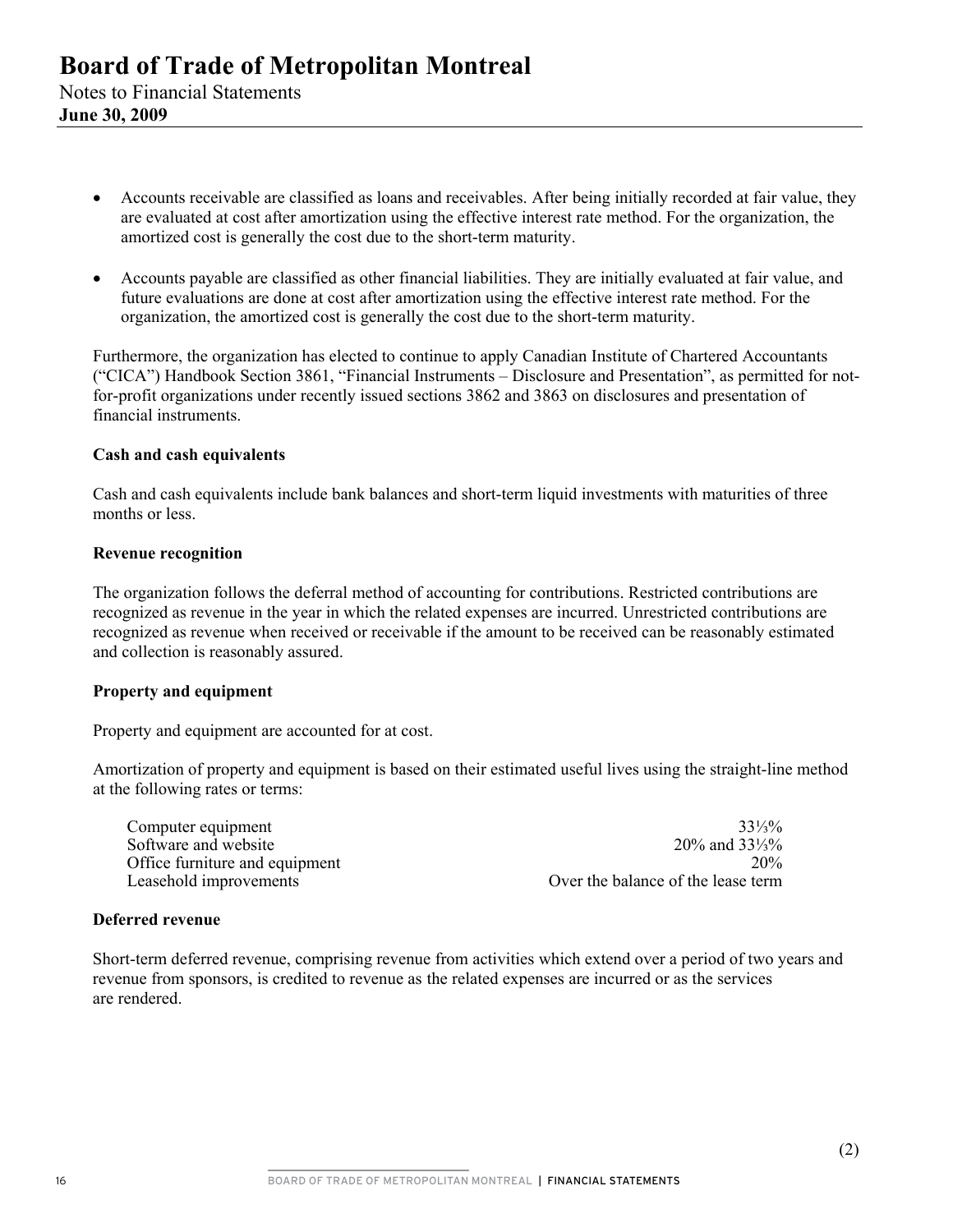- Accounts receivable are classified as loans and receivables. After being initially recorded at fair value, they are evaluated at cost after amortization using the effective interest rate method. For the organization, the amortized cost is generally the cost due to the short-term maturity.
- Accounts payable are classified as other financial liabilities. They are initially evaluated at fair value, and future evaluations are done at cost after amortization using the effective interest rate method. For the organization, the amortized cost is generally the cost due to the short-term maturity.

Furthermore, the organization has elected to continue to apply Canadian Institute of Chartered Accountants ("CICA") Handbook Section 3861, "Financial Instruments – Disclosure and Presentation", as permitted for notfor-profit organizations under recently issued sections 3862 and 3863 on disclosures and presentation of financial instruments.

#### **Cash and cash equivalents**

Cash and cash equivalents include bank balances and short-term liquid investments with maturities of three months or less.

#### **Revenue recognition**

The organization follows the deferral method of accounting for contributions. Restricted contributions are recognized as revenue in the year in which the related expenses are incurred. Unrestricted contributions are recognized as revenue when received or receivable if the amount to be received can be reasonably estimated and collection is reasonably assured.

#### **Property and equipment**

Property and equipment are accounted for at cost.

Amortization of property and equipment is based on their estimated useful lives using the straight-line method at the following rates or terms:

| Computer equipment             | $33\frac{1}{3}\%$                  |
|--------------------------------|------------------------------------|
| Software and website           | 20% and $33\frac{1}{3}\%$          |
| Office furniture and equipment | 20%                                |
| Leasehold improvements         | Over the balance of the lease term |

#### **Deferred revenue**

Short-term deferred revenue, comprising revenue from activities which extend over a period of two years and revenue from sponsors, is credited to revenue as the related expenses are incurred or as the services are rendered.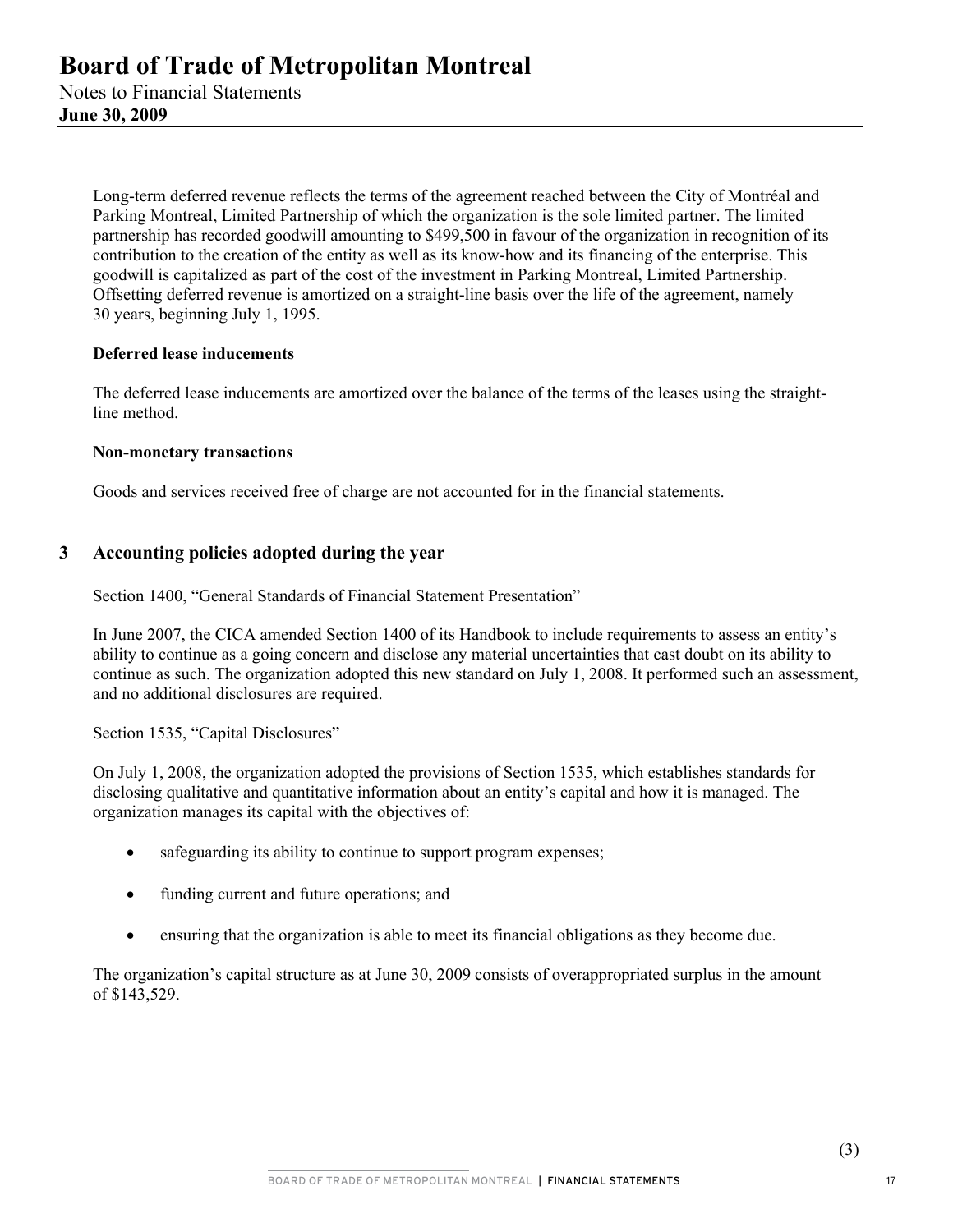> Long-term deferred revenue reflects the terms of the agreement reached between the City of Montréal and Parking Montreal, Limited Partnership of which the organization is the sole limited partner. The limited partnership has recorded goodwill amounting to \$499,500 in favour of the organization in recognition of its contribution to the creation of the entity as well as its know-how and its financing of the enterprise. This goodwill is capitalized as part of the cost of the investment in Parking Montreal, Limited Partnership. Offsetting deferred revenue is amortized on a straight-line basis over the life of the agreement, namely 30 years, beginning July 1, 1995.

### **Deferred lease inducements**

The deferred lease inducements are amortized over the balance of the terms of the leases using the straightline method.

#### **Non-monetary transactions**

Goods and services received free of charge are not accounted for in the financial statements.

## **3 Accounting policies adopted during the year**

Section 1400, "General Standards of Financial Statement Presentation"

In June 2007, the CICA amended Section 1400 of its Handbook to include requirements to assess an entity's ability to continue as a going concern and disclose any material uncertainties that cast doubt on its ability to continue as such. The organization adopted this new standard on July 1, 2008. It performed such an assessment, and no additional disclosures are required.

Section 1535, "Capital Disclosures"

On July 1, 2008, the organization adopted the provisions of Section 1535, which establishes standards for disclosing qualitative and quantitative information about an entity's capital and how it is managed. The organization manages its capital with the objectives of:

- safeguarding its ability to continue to support program expenses;
- funding current and future operations; and
- ensuring that the organization is able to meet its financial obligations as they become due.

The organization's capital structure as at June 30, 2009 consists of overappropriated surplus in the amount of \$143,529.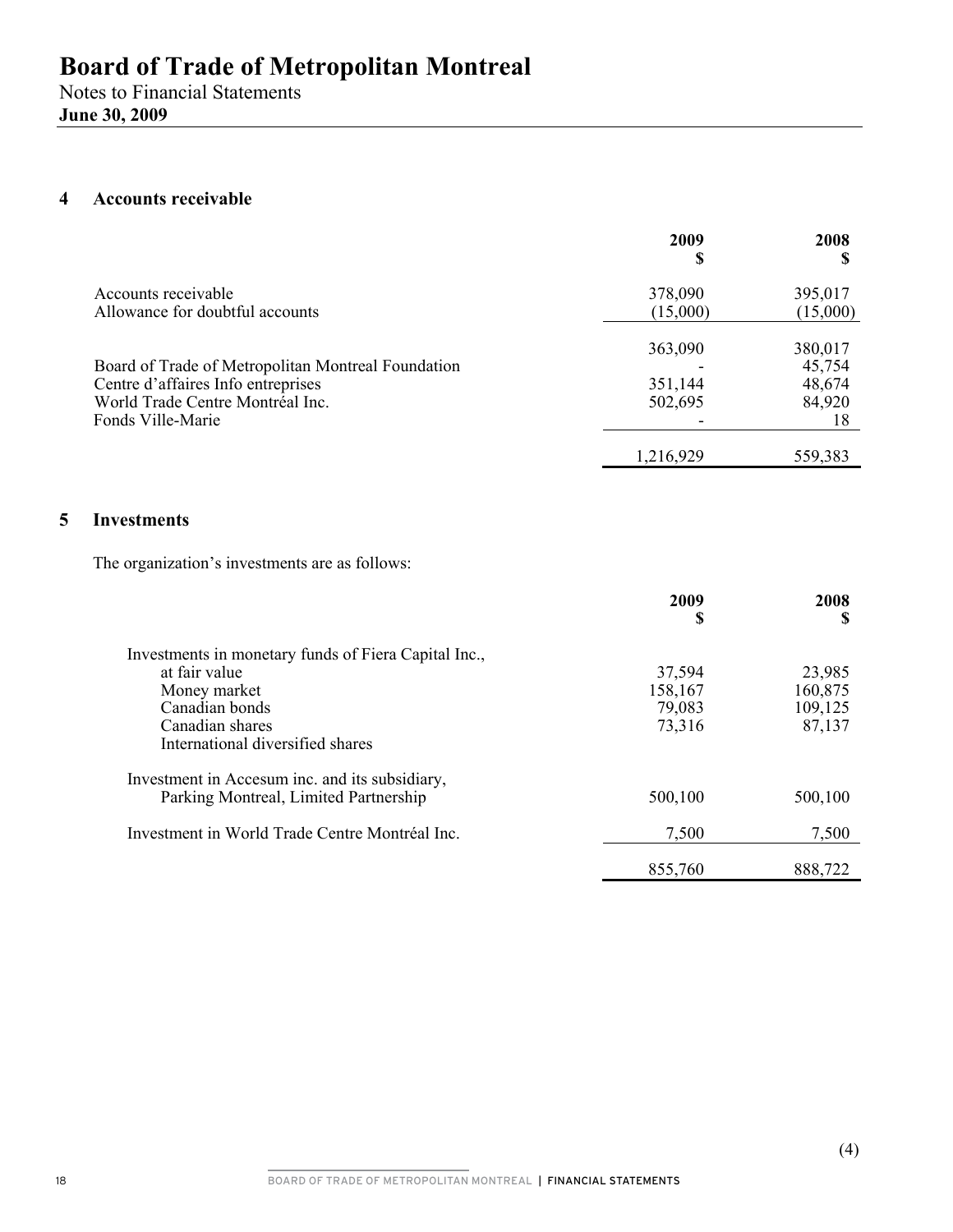## **4 Accounts receivable**

|                                                                                             | 2009<br>Œ           | 2008                   |
|---------------------------------------------------------------------------------------------|---------------------|------------------------|
| Accounts receivable<br>Allowance for doubtful accounts                                      | 378,090<br>(15,000) | 395,017<br>(15,000)    |
| Board of Trade of Metropolitan Montreal Foundation                                          | 363,090             | 380,017<br>45,754      |
| Centre d'affaires Info entreprises<br>World Trade Centre Montréal Inc.<br>Fonds Ville-Marie | 351,144<br>502,695  | 48,674<br>84,920<br>18 |
|                                                                                             | 1,216,929           | 559,383                |

### **5 Investments**

The organization's investments are as follows:

|                                                      | 2009<br>\$ | 2008<br>S |
|------------------------------------------------------|------------|-----------|
| Investments in monetary funds of Fiera Capital Inc., |            |           |
| at fair value                                        | 37,594     | 23,985    |
| Money market                                         | 158,167    | 160,875   |
| Canadian bonds                                       | 79,083     | 109,125   |
| Canadian shares                                      | 73,316     | 87,137    |
| International diversified shares                     |            |           |
| Investment in Accesum inc. and its subsidiary,       |            |           |
| Parking Montreal, Limited Partnership                | 500,100    | 500,100   |
| Investment in World Trade Centre Montréal Inc.       | 7,500      | 7,500     |
|                                                      | 855,760    | 888,722   |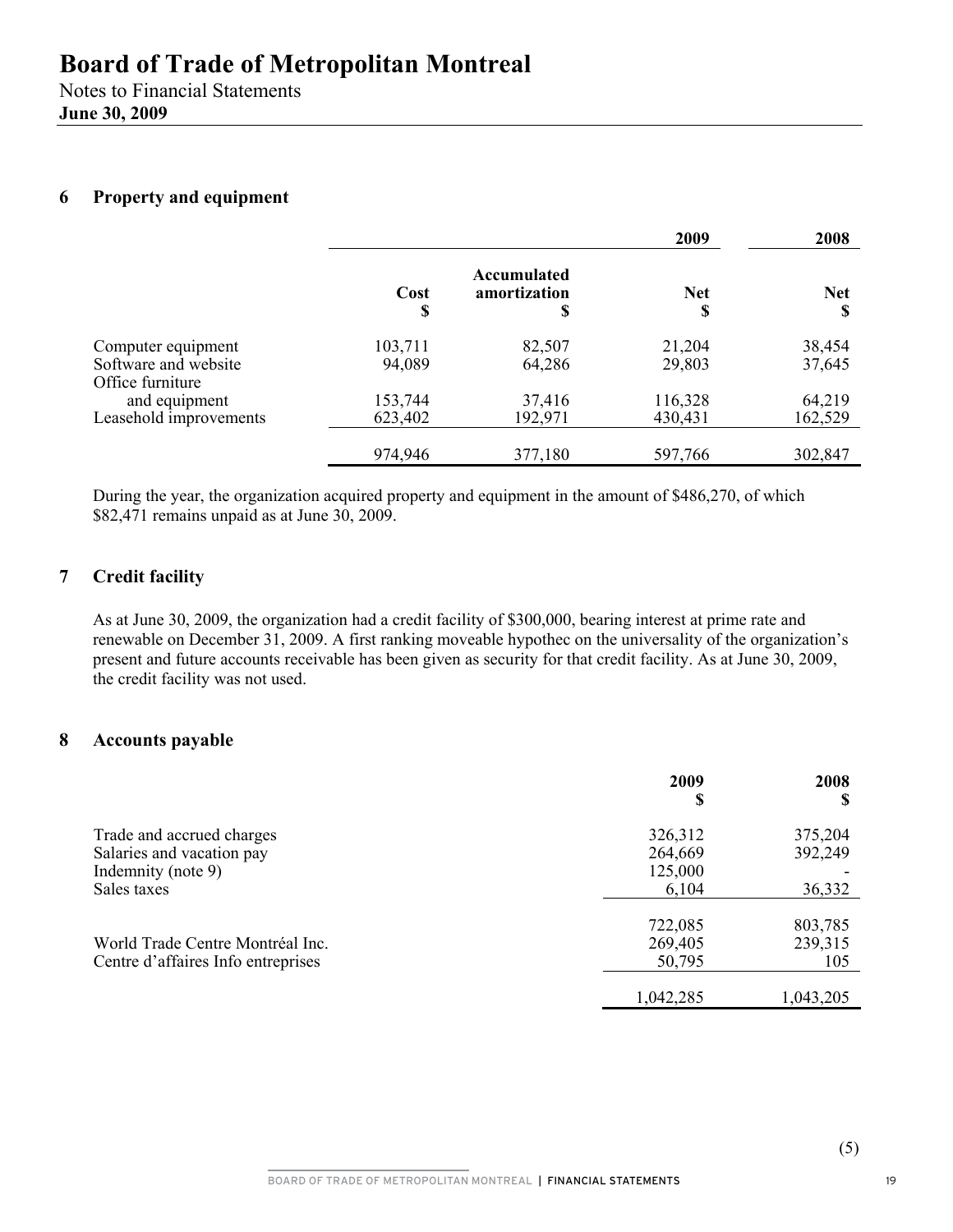## **6 Property and equipment**

|                                          |            |                                  | 2009             | 2008            |
|------------------------------------------|------------|----------------------------------|------------------|-----------------|
|                                          | Cost<br>\$ | Accumulated<br>amortization<br>S | <b>Net</b><br>\$ | <b>Net</b><br>S |
| Computer equipment                       | 103,711    | 82,507                           | 21,204           | 38,454          |
| Software and website<br>Office furniture | 94,089     | 64,286                           | 29,803           | 37,645          |
| and equipment                            | 153,744    | 37,416                           | 116,328          | 64,219          |
| Leasehold improvements                   | 623,402    | 192,971                          | 430,431          | 162,529         |
|                                          | 974,946    | 377,180                          | 597,766          | 302,847         |

During the year, the organization acquired property and equipment in the amount of \$486,270, of which \$82,471 remains unpaid as at June 30, 2009.

## **7 Credit facility**

As at June 30, 2009, the organization had a credit facility of \$300,000, bearing interest at prime rate and renewable on December 31, 2009. A first ranking moveable hypothec on the universality of the organization's present and future accounts receivable has been given as security for that credit facility. As at June 30, 2009, the credit facility was not used.

## **8 Accounts payable**

|                                    | 2009<br>S        | 2008<br>S |
|------------------------------------|------------------|-----------|
| Trade and accrued charges          | 326,312          | 375,204   |
| Salaries and vacation pay          | 264,669          | 392,249   |
| Indemnity (note 9)<br>Sales taxes  | 125,000<br>6,104 | 36,332    |
|                                    |                  |           |
|                                    | 722,085          | 803,785   |
| World Trade Centre Montréal Inc.   | 269,405          | 239,315   |
| Centre d'affaires Info entreprises | 50,795           | 105       |
|                                    |                  |           |
|                                    | 1,042,285        | 1,043,205 |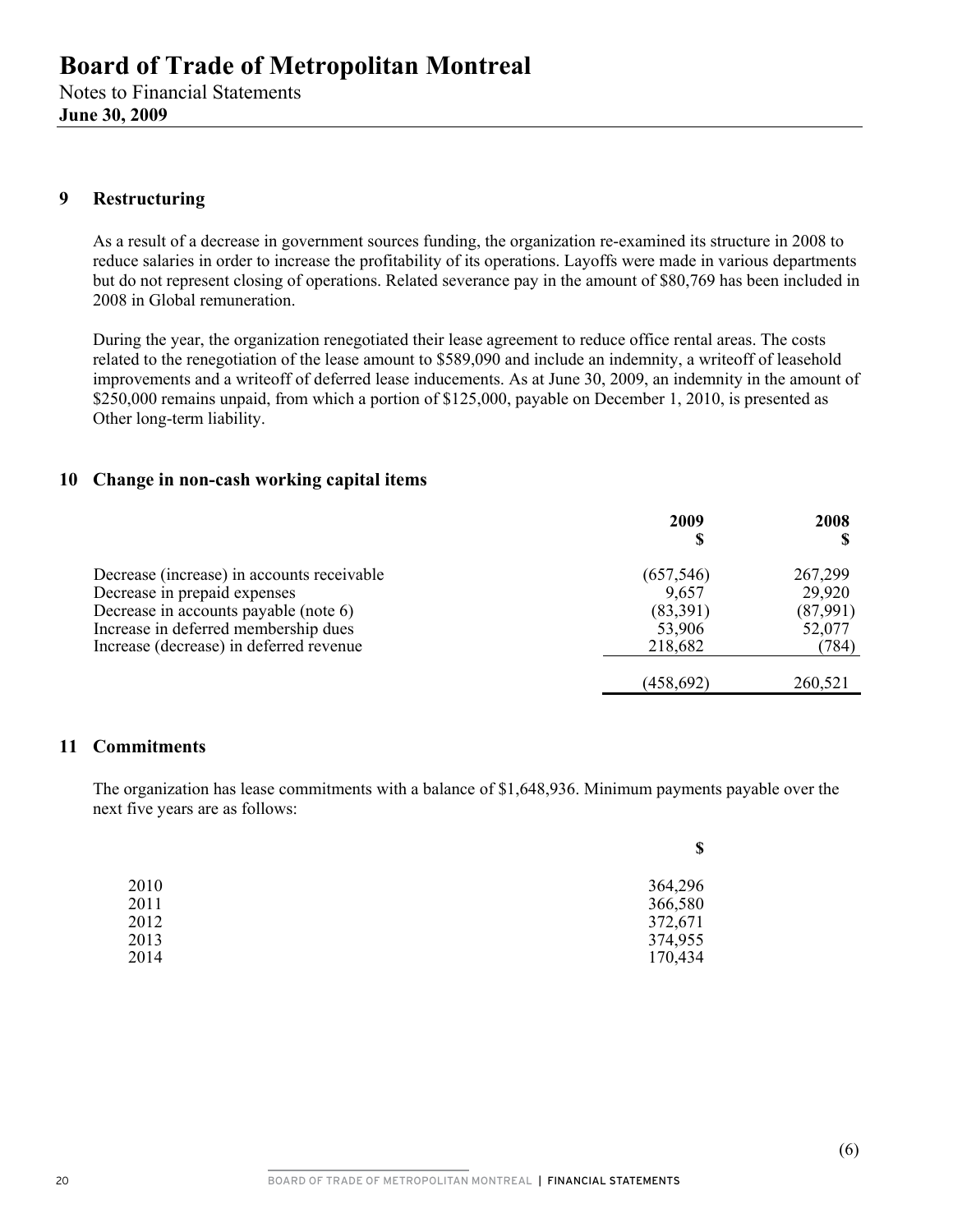## **9 Restructuring**

As a result of a decrease in government sources funding, the organization re-examined its structure in 2008 to reduce salaries in order to increase the profitability of its operations. Layoffs were made in various departments but do not represent closing of operations. Related severance pay in the amount of \$80,769 has been included in 2008 in Global remuneration.

During the year, the organization renegotiated their lease agreement to reduce office rental areas. The costs related to the renegotiation of the lease amount to \$589,090 and include an indemnity, a writeoff of leasehold improvements and a writeoff of deferred lease inducements. As at June 30, 2009, an indemnity in the amount of \$250,000 remains unpaid, from which a portion of \$125,000, payable on December 1, 2010, is presented as Other long-term liability.

## **10 Change in non-cash working capital items**

|                                            | 2009       | 2008     |
|--------------------------------------------|------------|----------|
| Decrease (increase) in accounts receivable | (657, 546) | 267,299  |
| Decrease in prepaid expenses               | 9,657      | 29,920   |
| Decrease in accounts payable (note 6)      | (83,391)   | (87,991) |
| Increase in deferred membership dues       | 53,906     | 52,077   |
| Increase (decrease) in deferred revenue    | 218,682    | (784)    |
|                                            | (458, 692) | 260,521  |

## **11 Commitments**

The organization has lease commitments with a balance of \$1,648,936. Minimum payments payable over the next five years are as follows:

|      | \$      |
|------|---------|
| 2010 | 364,296 |
| 2011 | 366,580 |
| 2012 | 372,671 |
| 2013 | 374,955 |
| 2014 | 170,434 |
|      |         |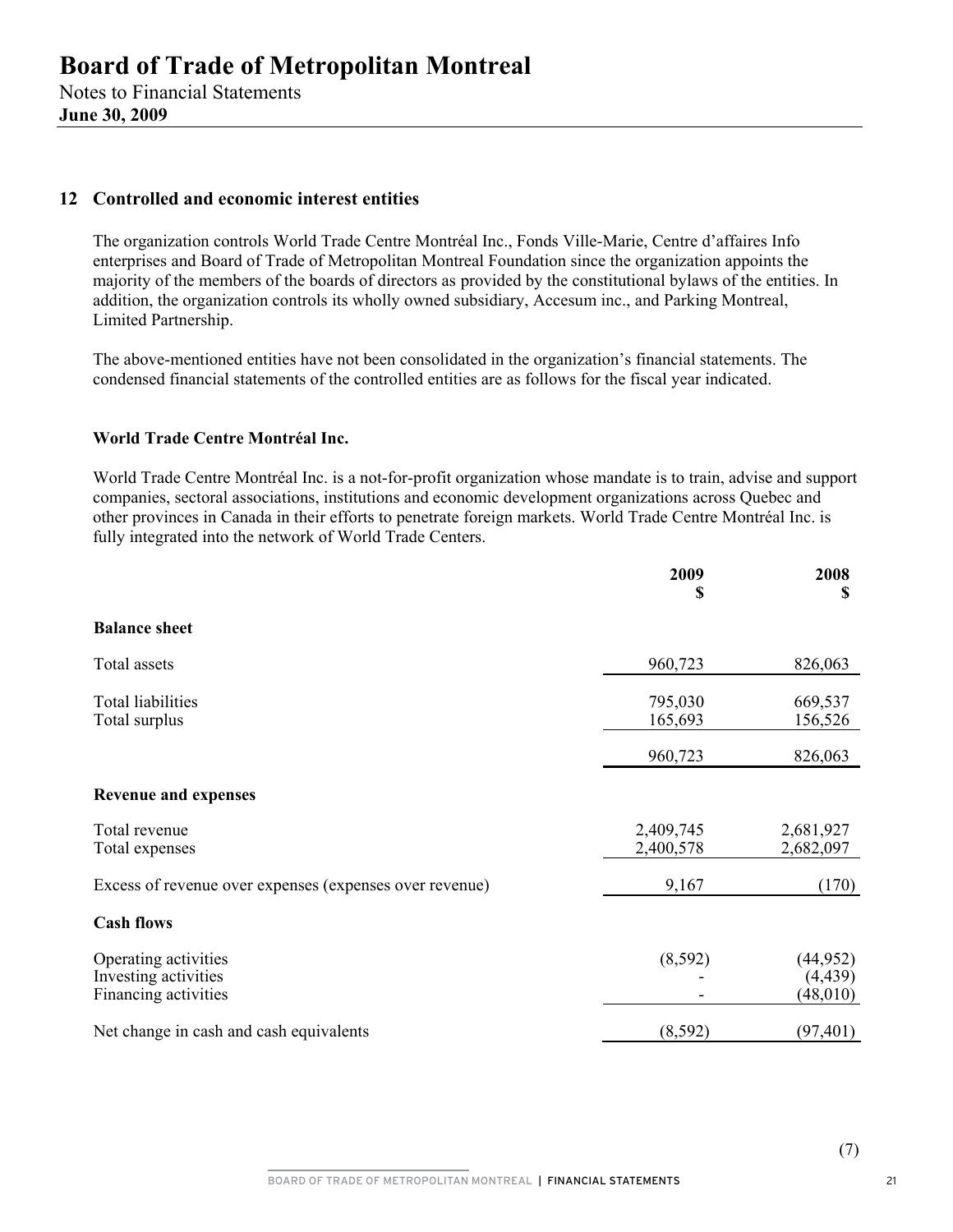### **12 Controlled and economic interest entities**

The organization controls World Trade Centre Montréal Inc., Fonds Ville-Marie, Centre d'affaires Info enterprises and Board of Trade of Metropolitan Montreal Foundation since the organization appoints the majority of the members of the boards of directors as provided by the constitutional bylaws of the entities. In addition, the organization controls its wholly owned subsidiary, Accesum inc., and Parking Montreal, Limited Partnership.

The above-mentioned entities have not been consolidated in the organization's financial statements. The condensed financial statements of the controlled entities are as follows for the fiscal year indicated.

### **World Trade Centre Montréal Inc.**

World Trade Centre Montréal Inc. is a not-for-profit organization whose mandate is to train, advise and support companies, sectoral associations, institutions and economic development organizations across Quebec and other provinces in Canada in their efforts to penetrate foreign markets. World Trade Centre Montréal Inc. is fully integrated into the network of World Trade Centers.

|                                                                      | 2009<br>S              | 2008<br>S                          |
|----------------------------------------------------------------------|------------------------|------------------------------------|
| <b>Balance sheet</b>                                                 |                        |                                    |
| Total assets                                                         | 960,723                | 826,063                            |
| <b>Total liabilities</b><br>Total surplus                            | 795,030<br>165,693     | 669,537<br>156,526                 |
|                                                                      | 960,723                | 826,063                            |
| <b>Revenue and expenses</b>                                          |                        |                                    |
| Total revenue<br>Total expenses                                      | 2,409,745<br>2,400,578 | 2,681,927<br>2,682,097             |
| Excess of revenue over expenses (expenses over revenue)              | 9,167                  | (170)                              |
| <b>Cash flows</b>                                                    |                        |                                    |
| Operating activities<br>Investing activities<br>Financing activities | (8,592)                | (44, 952)<br>(4, 439)<br>(48, 010) |
| Net change in cash and cash equivalents                              | (8, 592)               | (97, 401)                          |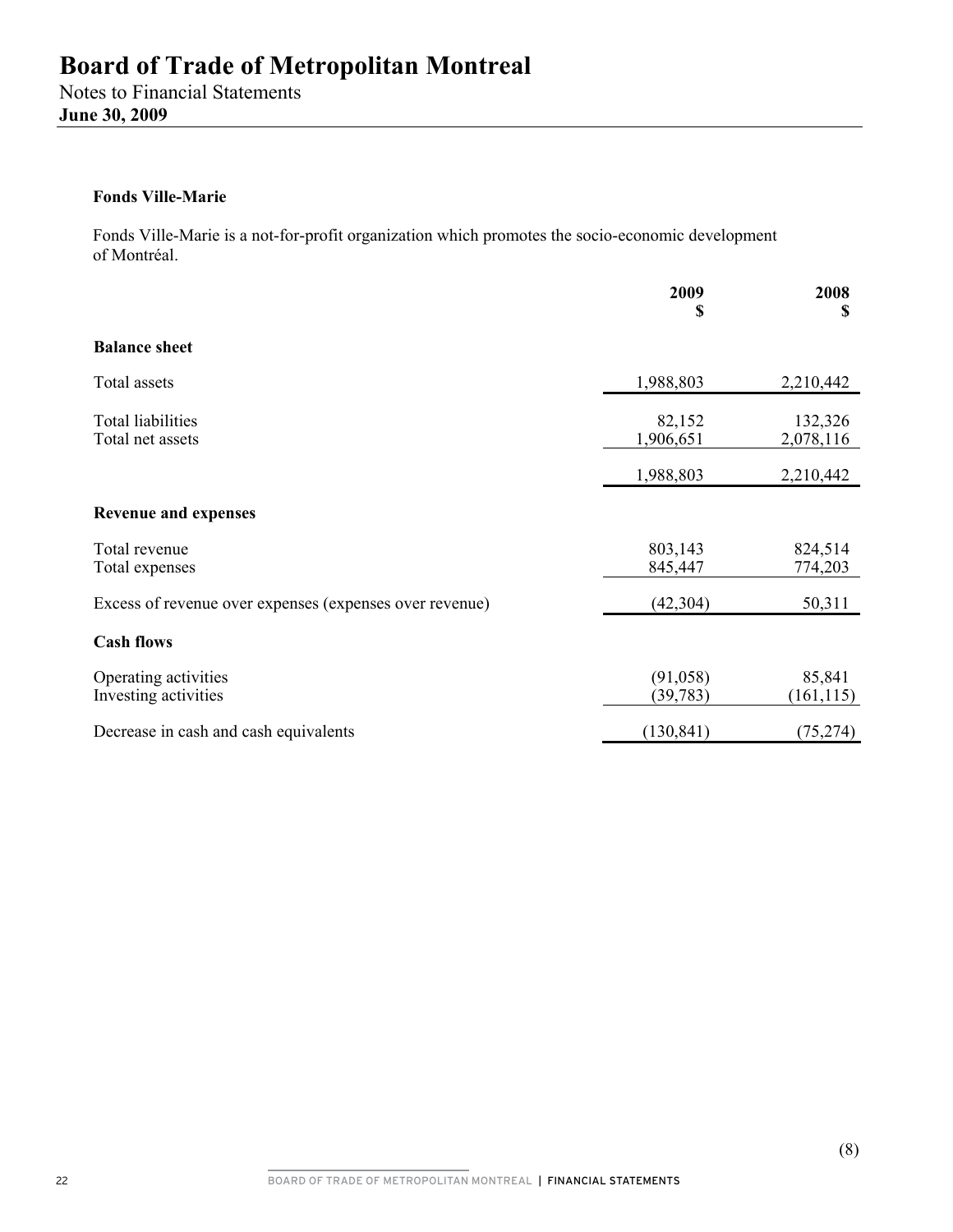Notes to Financial Statements **June 30, 2009** 

#### **Fonds Ville-Marie**

Fonds Ville-Marie is a not-for-profit organization which promotes the socio-economic development of Montréal.

|                                                         | 2009<br>\$             | 2008<br>S            |
|---------------------------------------------------------|------------------------|----------------------|
| <b>Balance sheet</b>                                    |                        |                      |
| Total assets                                            | 1,988,803              | 2,210,442            |
| <b>Total liabilities</b><br>Total net assets            | 82,152<br>1,906,651    | 132,326<br>2,078,116 |
|                                                         | 1,988,803              | 2,210,442            |
| <b>Revenue and expenses</b>                             |                        |                      |
| Total revenue<br>Total expenses                         | 803,143<br>845,447     | 824,514<br>774,203   |
| Excess of revenue over expenses (expenses over revenue) | (42, 304)              | 50,311               |
| <b>Cash flows</b>                                       |                        |                      |
| Operating activities<br>Investing activities            | (91, 058)<br>(39, 783) | 85,841<br>(161, 115) |
| Decrease in cash and cash equivalents                   | (130, 841)             | (75, 274)            |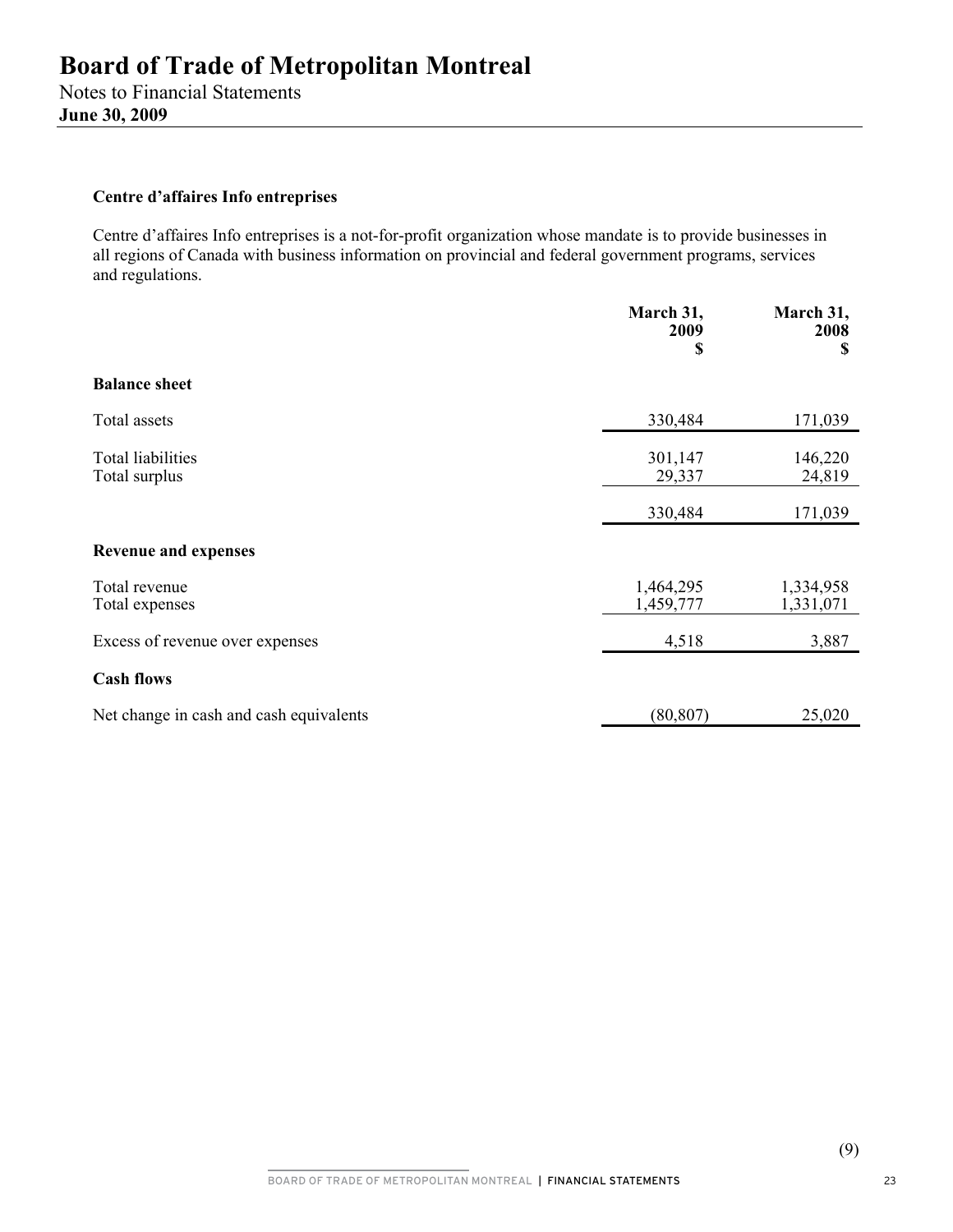#### **Centre d'affaires Info entreprises**

Centre d'affaires Info entreprises is a not-for-profit organization whose mandate is to provide businesses in all regions of Canada with business information on provincial and federal government programs, services and regulations.

|                                           | March 31,<br>2009<br>\$ | March 31,<br>2008<br>\$ |
|-------------------------------------------|-------------------------|-------------------------|
| <b>Balance sheet</b>                      |                         |                         |
| Total assets                              | 330,484                 | 171,039                 |
| <b>Total liabilities</b><br>Total surplus | 301,147<br>29,337       | 146,220<br>24,819       |
|                                           | 330,484                 | 171,039                 |
| <b>Revenue and expenses</b>               |                         |                         |
| Total revenue<br>Total expenses           | 1,464,295<br>1,459,777  | 1,334,958<br>1,331,071  |
| Excess of revenue over expenses           | 4,518                   | 3,887                   |
| <b>Cash flows</b>                         |                         |                         |
| Net change in cash and cash equivalents   | (80, 807)               | 25,020                  |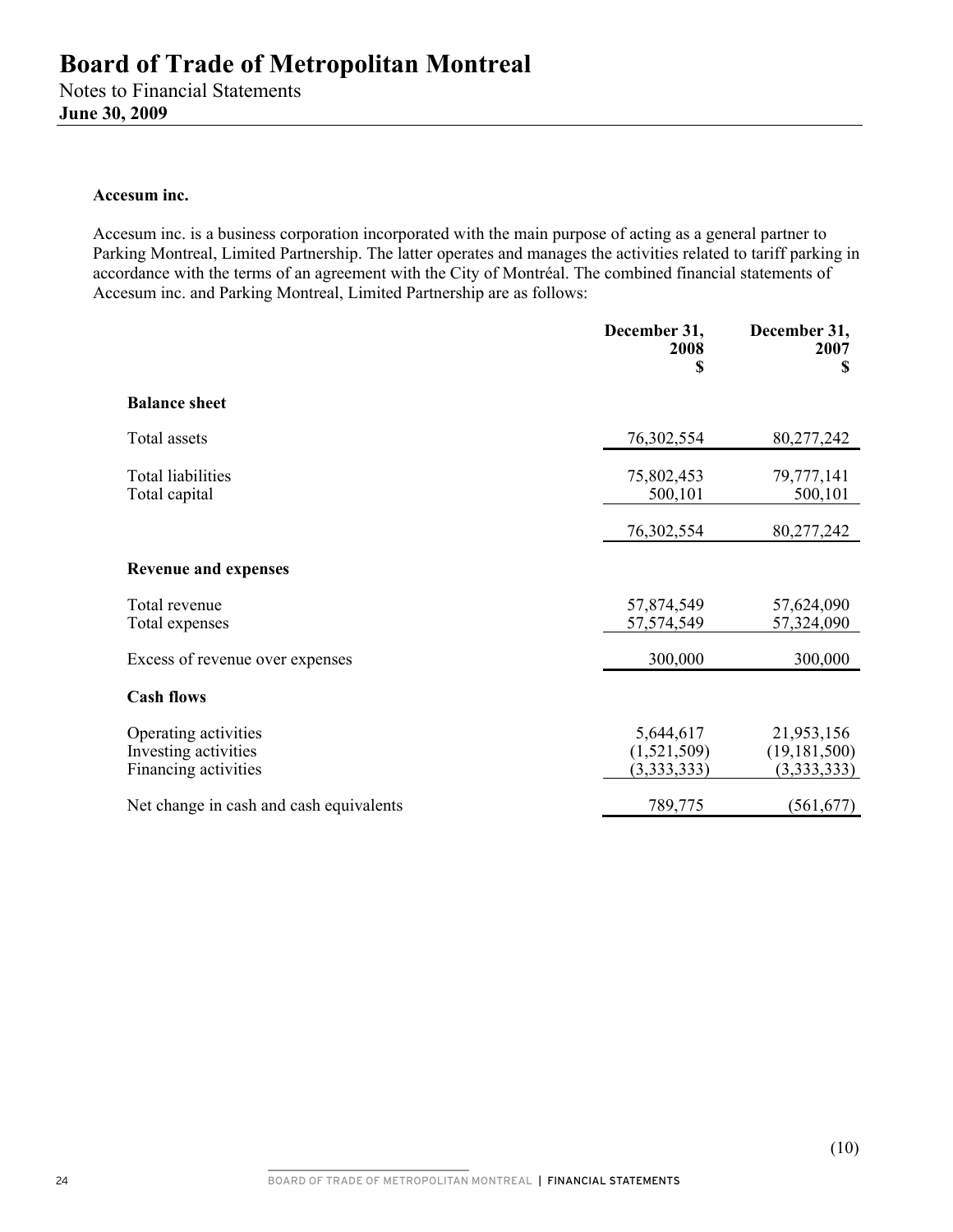#### **Accesum inc.**

Accesum inc. is a business corporation incorporated with the main purpose of acting as a general partner to Parking Montreal, Limited Partnership. The latter operates and manages the activities related to tariff parking in accordance with the terms of an agreement with the City of Montréal. The combined financial statements of Accesum inc. and Parking Montreal, Limited Partnership are as follows:

|                                                                      | December 31,<br>2008<br>\$              | December 31,<br>2007<br>\$                  |
|----------------------------------------------------------------------|-----------------------------------------|---------------------------------------------|
| <b>Balance sheet</b>                                                 |                                         |                                             |
| Total assets                                                         | 76,302,554                              | 80,277,242                                  |
| Total liabilities<br>Total capital                                   | 75,802,453<br>500,101                   | 79,777,141<br>500,101                       |
|                                                                      | 76,302,554                              | 80,277,242                                  |
| <b>Revenue and expenses</b>                                          |                                         |                                             |
| Total revenue<br>Total expenses                                      | 57,874,549<br>57,574,549                | 57,624,090<br>57,324,090                    |
| Excess of revenue over expenses                                      | 300,000                                 | 300,000                                     |
| <b>Cash flows</b>                                                    |                                         |                                             |
| Operating activities<br>Investing activities<br>Financing activities | 5,644,617<br>(1,521,509)<br>(3,333,333) | 21,953,156<br>(19, 181, 500)<br>(3,333,333) |
| Net change in cash and cash equivalents                              | 789,775                                 | (561, 677)                                  |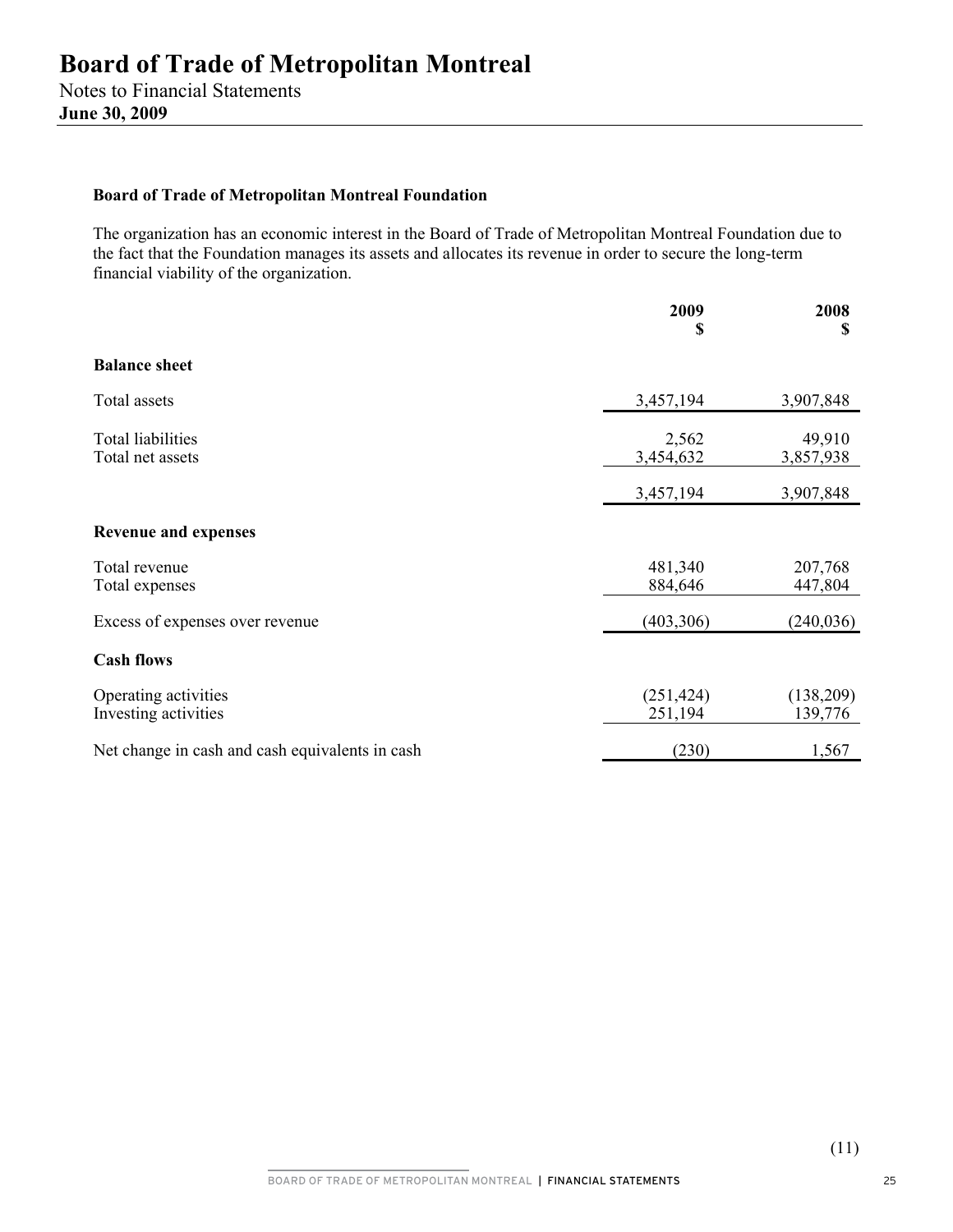#### **Board of Trade of Metropolitan Montreal Foundation**

The organization has an economic interest in the Board of Trade of Metropolitan Montreal Foundation due to the fact that the Foundation manages its assets and allocates its revenue in order to secure the long-term financial viability of the organization.

|                                                 | 2009<br>\$            | 2008<br>\$           |
|-------------------------------------------------|-----------------------|----------------------|
| <b>Balance sheet</b>                            |                       |                      |
| Total assets                                    | 3,457,194             | 3,907,848            |
| <b>Total liabilities</b><br>Total net assets    | 2,562<br>3,454,632    | 49,910<br>3,857,938  |
|                                                 | 3,457,194             | 3,907,848            |
| <b>Revenue and expenses</b>                     |                       |                      |
| Total revenue<br>Total expenses                 | 481,340<br>884,646    | 207,768<br>447,804   |
| Excess of expenses over revenue                 | (403, 306)            | (240, 036)           |
| <b>Cash flows</b>                               |                       |                      |
| Operating activities<br>Investing activities    | (251, 424)<br>251,194 | (138,209)<br>139,776 |
| Net change in cash and cash equivalents in cash | (230)                 | 1,567                |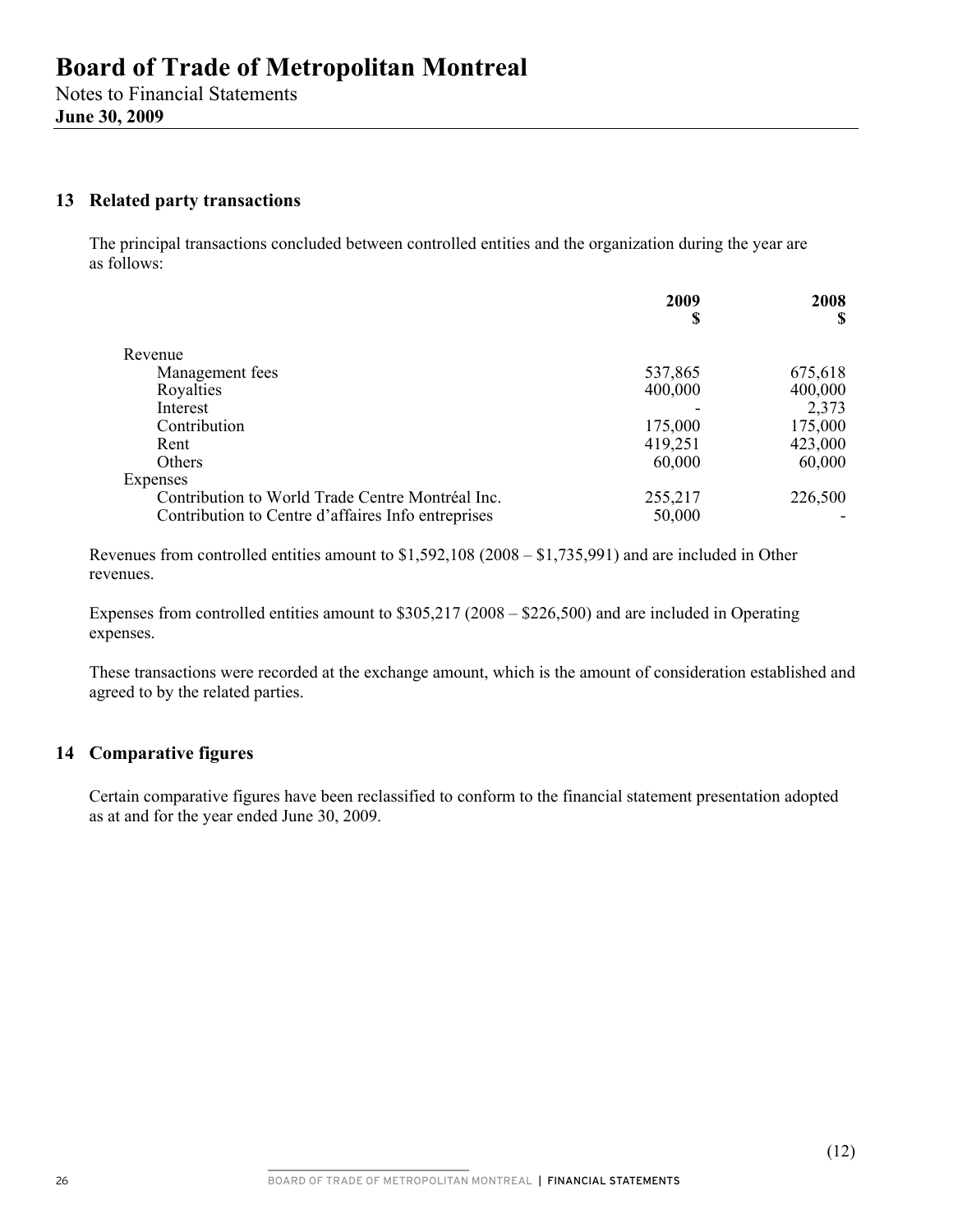## **13 Related party transactions**

The principal transactions concluded between controlled entities and the organization during the year are as follows:

|                                                    | 2009<br>S | 2008    |
|----------------------------------------------------|-----------|---------|
|                                                    |           | S       |
| Revenue                                            |           |         |
| Management fees                                    | 537,865   | 675,618 |
| Royalties                                          | 400,000   | 400,000 |
| Interest                                           |           | 2,373   |
| Contribution                                       | 175,000   | 175,000 |
| Rent                                               | 419,251   | 423,000 |
| <b>Others</b>                                      | 60,000    | 60,000  |
| Expenses                                           |           |         |
| Contribution to World Trade Centre Montréal Inc.   | 255,217   | 226,500 |
| Contribution to Centre d'affaires Info entreprises | 50,000    |         |

Revenues from controlled entities amount to \$1,592,108 (2008 – \$1,735,991) and are included in Other revenues.

Expenses from controlled entities amount to \$305,217 (2008 – \$226,500) and are included in Operating expenses.

These transactions were recorded at the exchange amount, which is the amount of consideration established and agreed to by the related parties.

## **14 Comparative figures**

Certain comparative figures have been reclassified to conform to the financial statement presentation adopted as at and for the year ended June 30, 2009.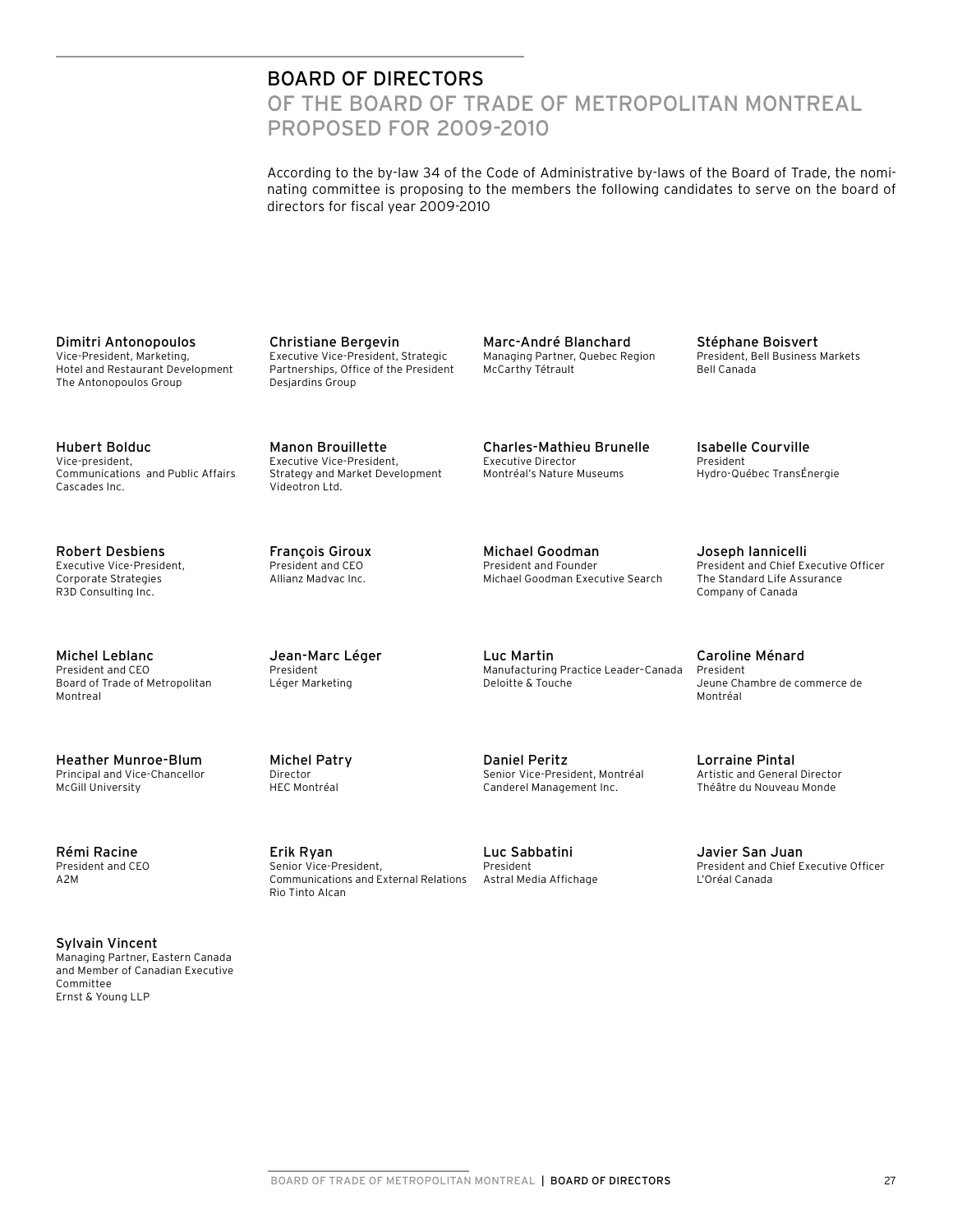## BOARD OF DIRECTORS

OF THE BOARD OF TRADE OF METROPOLITAN MONTREAL Proposed for 2009-2010

According to the by-law 34 of the Code of Administrative by-laws of the Board of Trade, the nominating committee is proposing to the members the following candidates to serve on the board of directors for fiscal year 2009-2010

Dimitri Antonopoulos Vice-President, Marketing, Hotel and Restaurant Development The Antonopoulos Group

Hubert Bolduc Vice-president, Communications and Public Affairs Cascades Inc.

Robert Desbiens Executive Vice-President, Corporate Strategies R3D Consulting Inc.

Michel Leblanc President and CEO Board of Trade of Metropolitan Montreal

Heather Munroe-Blum Principal and Vice-Chancellor McGill University

Rémi Racine President and CEO A2M

Sylvain Vincent Managing Partner, Eastern Canada and Member of Canadian Executive Committee Ernst & Young LLP

Christiane Bergevin Executive Vice-President, Strategic Partnerships, Office of the President Desjardins Group

Manon Brouillette Executive Vice-President, Strategy and Market Development Videotron Ltd.

François Giroux President and CEO Allianz Madvac Inc.

Jean-Marc Léger

President Léger Marketing

Michel Patry Director HEC Montréal

Erik Ryan Senior Vice-President,

Rio Tinto Alcan

Communications and External Relations

Marc-André Blanchard Managing Partner, Quebec Region McCarthy Tétrault

Charles-Mathieu Brunelle Executive Director Montréal's Nature Museums

Michael Goodman President and Founder Michael Goodman Executive Search

Luc Martin Manufacturing Practice Leader–Canada Deloitte & Touche

Daniel Peritz Senior Vice-President, Montréal Canderel Management Inc.

Luc Sabbatini President Astral Media Affichage Stéphane Boisvert President, Bell Business Markets Bell Canada

Isabelle Courville President Hydro-Québec TransÉnergie

Joseph Iannicelli President and Chief Executive Officer The Standard Life Assurance Company of Canada

Caroline Ménard President Jeune Chambre de commerce de Montréal

Lorraine Pintal Artistic and General Director Théâtre du Nouveau Monde

Javier San Juan President and Chief Executive Officer L'Oréal Canada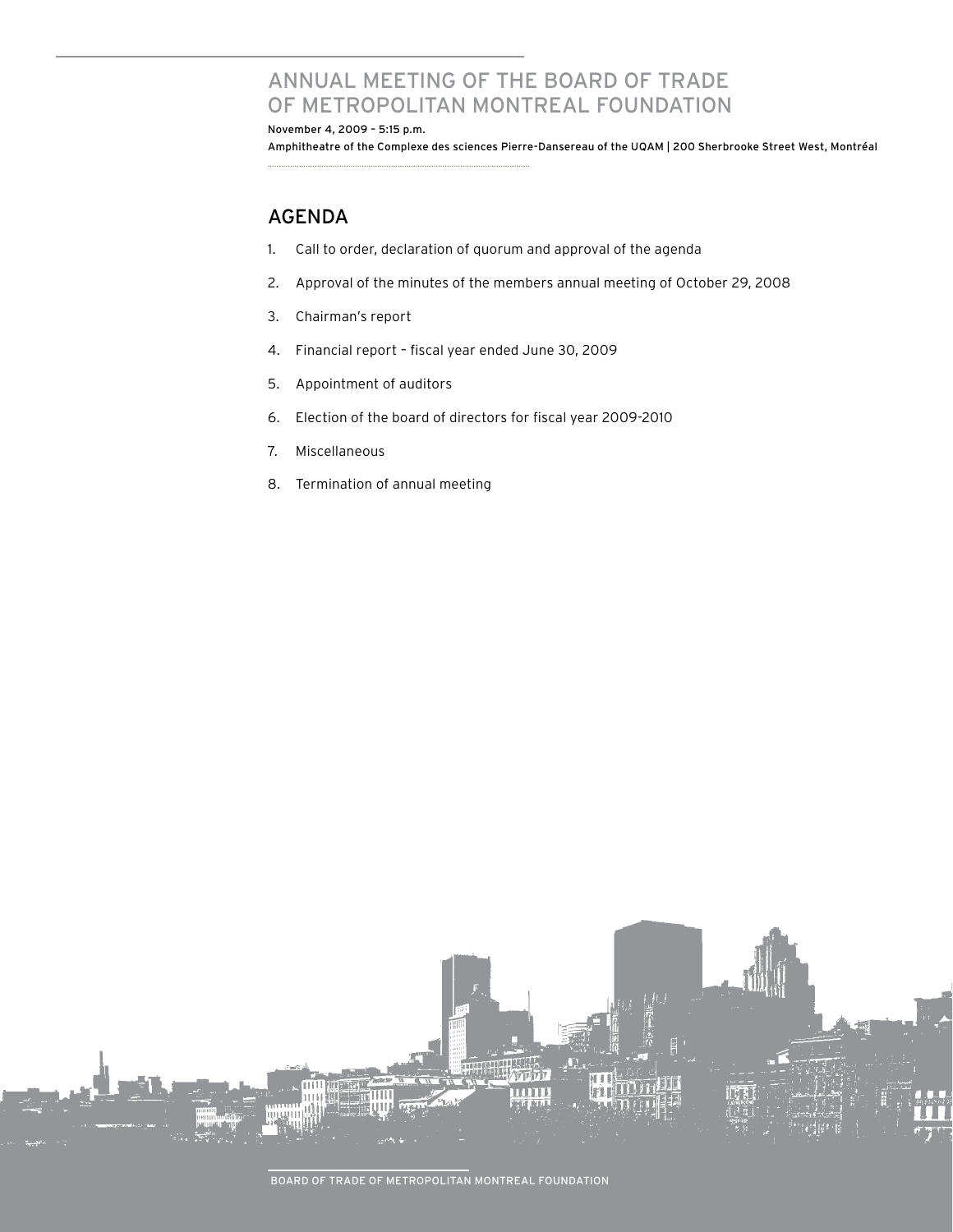# ANNUAL MEETING OF The Board of Trade of MeTROPOLITAN MONTREAL foundation

November 4, 2009 – 5:15 p.m. Amphitheatre of the Complexe des sciences Pierre-Dansereau of the UQAM | 200 Sherbrooke Street West, Montréal

## **AGENDA**

- 1. Call to order, declaration of quorum and approval of the agenda
- 2. Approval of the minutes of the members annual meeting of October 29, 2008
- 3. Chairman's report
- 4. Financial report fiscal year ended June 30, 2009

.....................................................................................................................

- 5. Appointment of auditors
- 6. Election of the board of directors for fiscal year 2009-2010
- 7. Miscellaneous
- 8. Termination of annual meeting

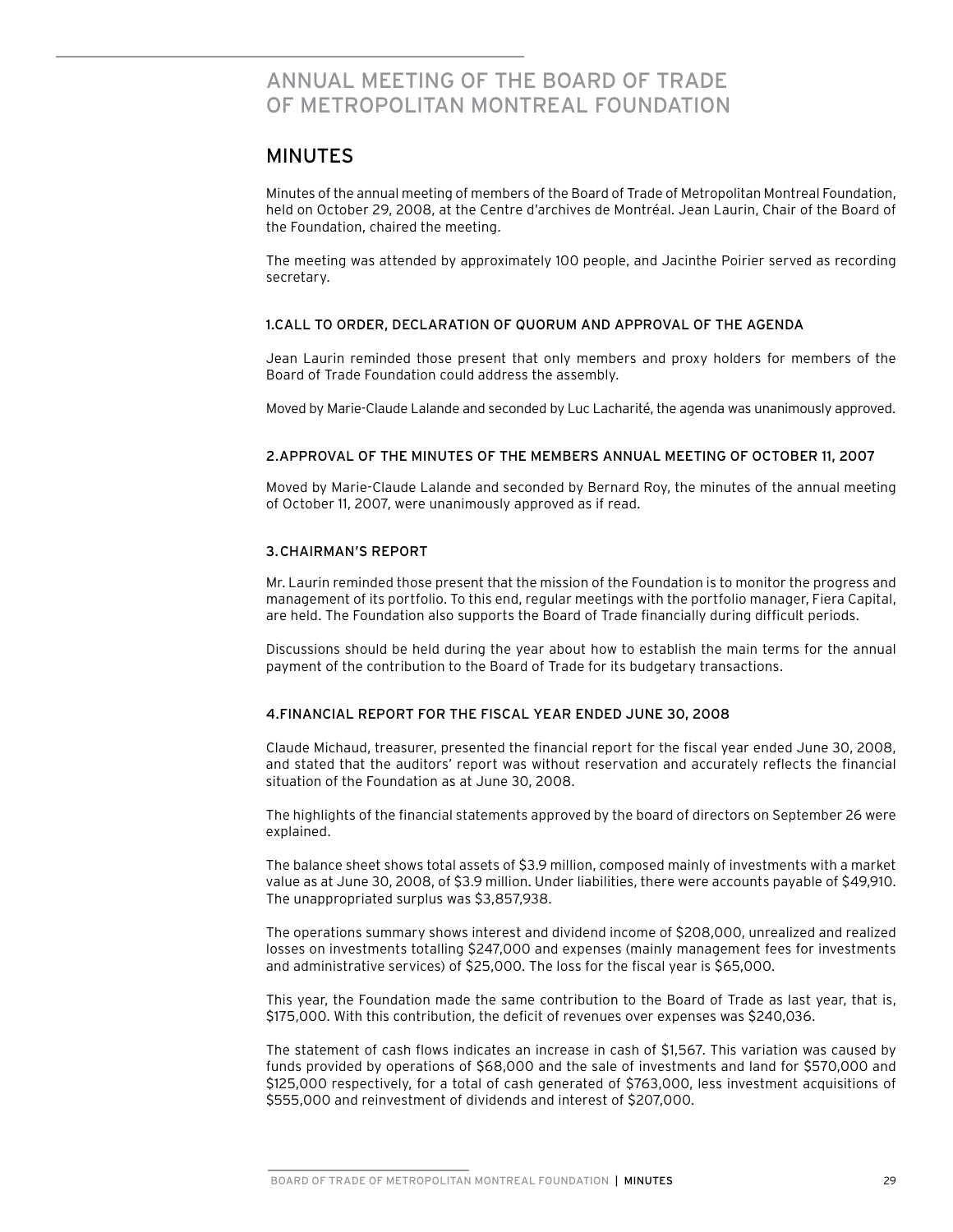# ANNUAL MEETING OF The Board of Trade of MeTROPOLITAN MONTREAL FOUNDATION

## MINUTES

Minutes of the annual meeting of members of the Board of Trade of Metropolitan Montreal Foundation, held on October 29, 2008, at the Centre d'archives de Montréal. Jean Laurin, Chair of the Board of the Foundation, chaired the meeting.

The meeting was attended by approximately 100 people, and Jacinthe Poirier served as recording secretary.

#### 1.CALL TO ORDER, DECLARATION OF QUORUM AND APPROVAL OF THE AGENDA

Jean Laurin reminded those present that only members and proxy holders for members of the Board of Trade Foundation could address the assembly.

Moved by Marie-Claude Lalande and seconded by Luc Lacharité, the agenda was unanimously approved.

#### 2.APPROVAL OF THE MINUTES OF THE MEMBERS ANNUAL MEETING OF OCTOBER 11, 2007

Moved by Marie-Claude Lalande and seconded by Bernard Roy, the minutes of the annual meeting of October 11, 2007, were unanimously approved as if read.

#### 3. CHAIRMAN'S REPORT

Mr. Laurin reminded those present that the mission of the Foundation is to monitor the progress and management of its portfolio. To this end, regular meetings with the portfolio manager, Fiera Capital, are held. The Foundation also supports the Board of Trade financially during difficult periods.

Discussions should be held during the year about how to establish the main terms for the annual payment of the contribution to the Board of Trade for its budgetary transactions.

#### 4.FINANCIAL REPORT FOR THE FISCAL YEAR ENDED JUNE 30, 2008

Claude Michaud, treasurer, presented the financial report for the fiscal year ended June 30, 2008, and stated that the auditors' report was without reservation and accurately reflects the financial situation of the Foundation as at June 30, 2008.

The highlights of the financial statements approved by the board of directors on September 26 were explained.

The balance sheet shows total assets of \$3.9 million, composed mainly of investments with a market value as at June 30, 2008, of \$3.9 million. Under liabilities, there were accounts payable of \$49,910. The unappropriated surplus was \$3,857,938.

The operations summary shows interest and dividend income of \$208,000, unrealized and realized losses on investments totalling \$247,000 and expenses (mainly management fees for investments and administrative services) of \$25,000. The loss for the fiscal year is \$65,000.

This year, the Foundation made the same contribution to the Board of Trade as last year, that is, \$175,000. With this contribution, the deficit of revenues over expenses was \$240,036.

The statement of cash flows indicates an increase in cash of \$1,567. This variation was caused by funds provided by operations of \$68,000 and the sale of investments and land for \$570,000 and \$125,000 respectively, for a total of cash generated of \$763,000, less investment acquisitions of \$555,000 and reinvestment of dividends and interest of \$207,000.

BOARD OF TRADE OF METROPOLITAN MONTREAL FOUNDATION | MINUTES 29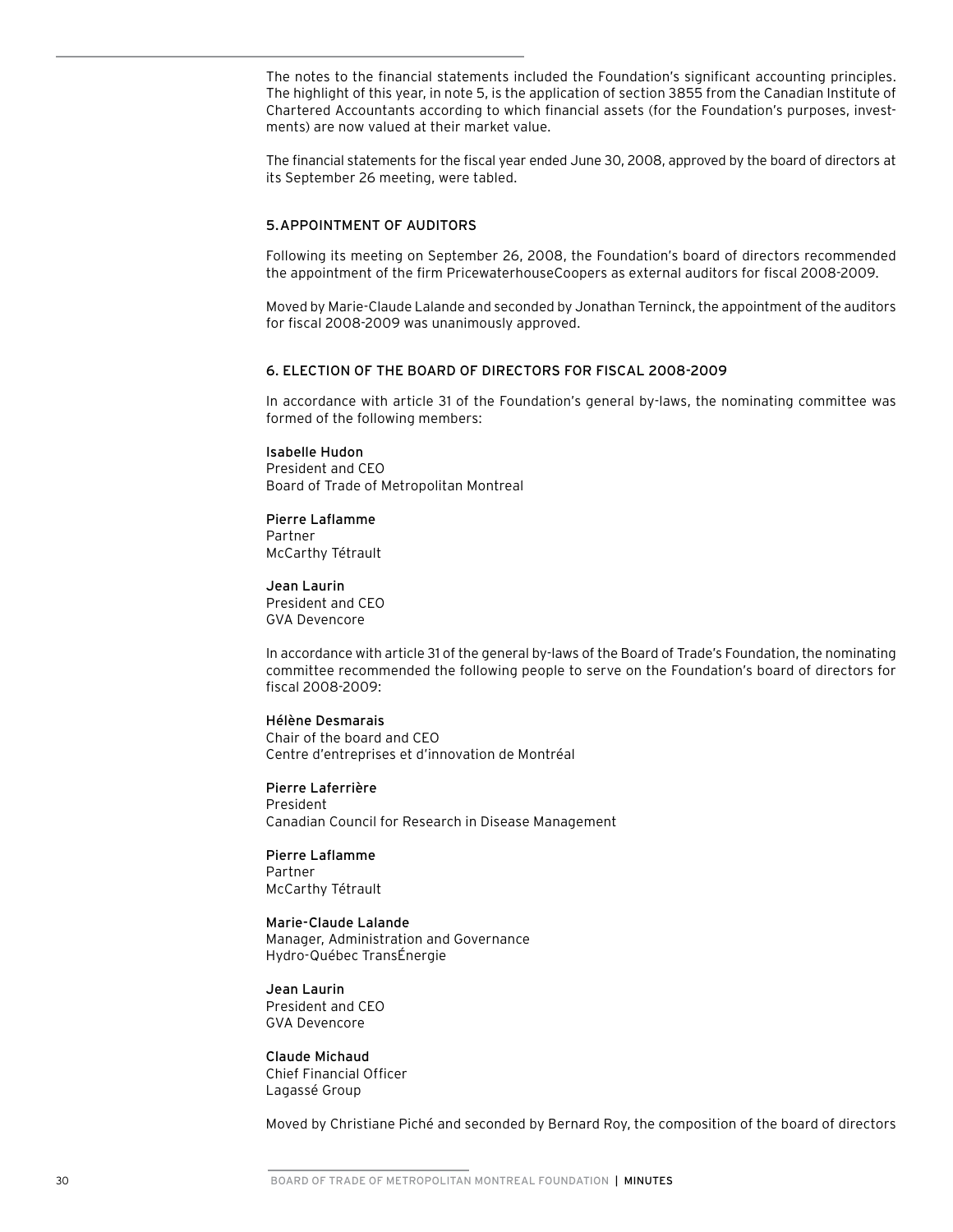The notes to the financial statements included the Foundation's significant accounting principles. The highlight of this year, in note 5, is the application of section 3855 from the Canadian Institute of Chartered Accountants according to which financial assets (for the Foundation's purposes, investments) are now valued at their market value.

The financial statements for the fiscal year ended June 30, 2008, approved by the board of directors at its September 26 meeting, were tabled.

#### 5. APPOINTMENT OF AUDITORS

Following its meeting on September 26, 2008, the Foundation's board of directors recommended the appointment of the firm PricewaterhouseCoopers as external auditors for fiscal 2008-2009.

Moved by Marie-Claude Lalande and seconded by Jonathan Terninck, the appointment of the auditors for fiscal 2008-2009 was unanimously approved.

#### 6. ELECTION OF THE BOARD OF DIRECTORS FOR FISCAL 2008-2009

In accordance with article 31 of the Foundation's general by-laws, the nominating committee was formed of the following members:

#### Isabelle Hudon

President and CEO Board of Trade of Metropolitan Montreal

#### Pierre Laflamme

Partner McCarthy Tétrault

Jean Laurin President and CEO GVA Devencore

In accordance with article 31 of the general by-laws of the Board of Trade's Foundation, the nominating committee recommended the following people to serve on the Foundation's board of directors for fiscal 2008-2009:

#### Hélène Desmarais

Chair of the board and CEO Centre d'entreprises et d'innovation de Montréal

Pierre Laferrière President Canadian Council for Research in Disease Management

Pierre Laflamme Partner McCarthy Tétrault

Marie-Claude Lalande Manager, Administration and Governance Hydro-Québec TransÉnergie

Jean Laurin President and CEO GVA Devencore

Claude Michaud Chief Financial Officer Lagassé Group

Moved by Christiane Piché and seconded by Bernard Roy, the composition of the board of directors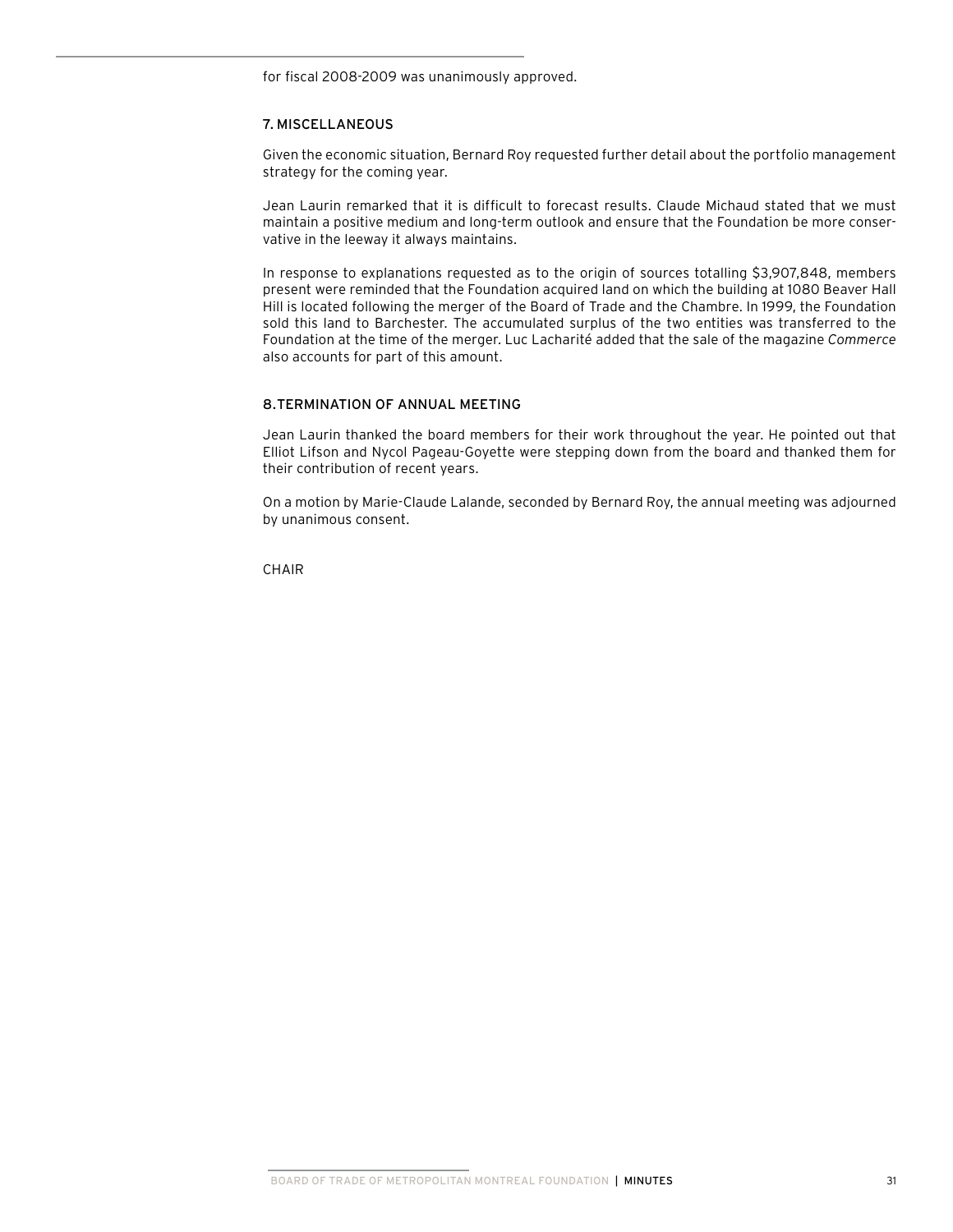for fiscal 2008-2009 was unanimously approved.

#### 7. MISCELLANEOUS

Given the economic situation, Bernard Roy requested further detail about the portfolio management strategy for the coming year.

Jean Laurin remarked that it is difficult to forecast results. Claude Michaud stated that we must maintain a positive medium and long-term outlook and ensure that the Foundation be more conservative in the leeway it always maintains.

In response to explanations requested as to the origin of sources totalling \$3,907,848, members present were reminded that the Foundation acquired land on which the building at 1080 Beaver Hall Hill is located following the merger of the Board of Trade and the Chambre. In 1999, the Foundation sold this land to Barchester. The accumulated surplus of the two entities was transferred to the Foundation at the time of the merger. Luc Lacharité added that the sale of the magazine *Commerce* also accounts for part of this amount.

#### 8.TERMINATION OF ANNUAL MEETING

Jean Laurin thanked the board members for their work throughout the year. He pointed out that Elliot Lifson and Nycol Pageau-Goyette were stepping down from the board and thanked them for their contribution of recent years.

On a motion by Marie-Claude Lalande, seconded by Bernard Roy, the annual meeting was adjourned by unanimous consent.

**CHAIR**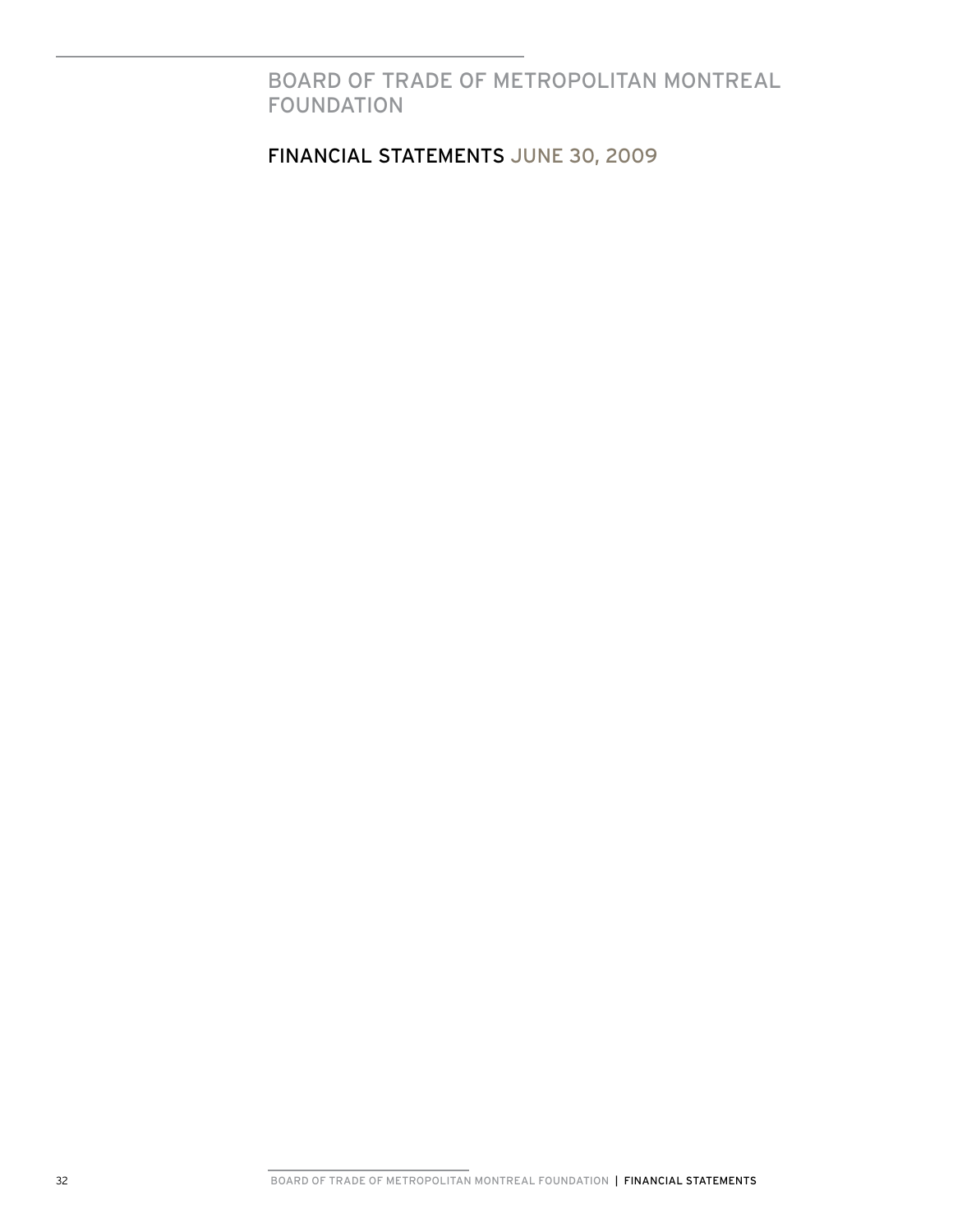BOARD OF TRADE OF METROPOLITAN MONTREAL FOUNDATION

financIAL STATEMENTS june 30, 2009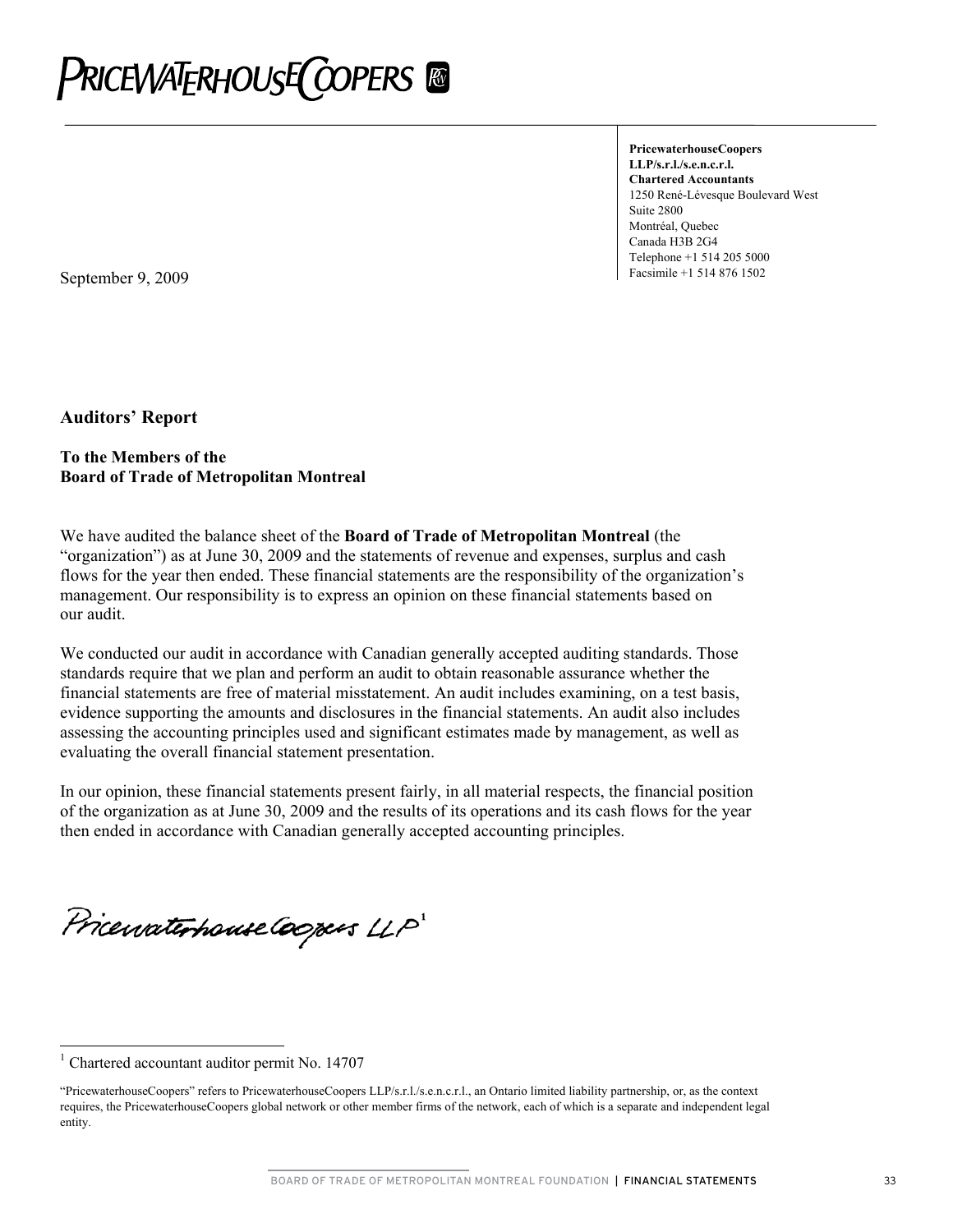

**PricewaterhouseCoopers LLP/s.r.l./s.e.n.c.r.l. Chartered Accountants**  1250 René-Lévesque Boulevard West Suite 2800 Montréal, Quebec Canada H3B 2G4 Telephone +1 514 205 5000

**September 9, 2009 Facsimile +1 514 876 1502** 

**Auditors' Report** 

#### **To the Members of the Board of Trade of Metropolitan Montreal**

We have audited the balance sheet of the **Board of Trade of Metropolitan Montreal** (the "organization") as at June 30, 2009 and the statements of revenue and expenses, surplus and cash flows for the year then ended. These financial statements are the responsibility of the organization's management. Our responsibility is to express an opinion on these financial statements based on our audit.

We conducted our audit in accordance with Canadian generally accepted auditing standards. Those standards require that we plan and perform an audit to obtain reasonable assurance whether the financial statements are free of material misstatement. An audit includes examining, on a test basis, evidence supporting the amounts and disclosures in the financial statements. An audit also includes assessing the accounting principles used and significant estimates made by management, as well as evaluating the overall financial statement presentation.

In our opinion, these financial statements present fairly, in all material respects, the financial position of the organization as at June 30, 2009 and the results of its operations and its cash flows for the year then ended in accordance with Canadian generally accepted accounting principles.

PricewaterhouseCoopers LLP

 $\overline{a}$ 

<sup>1</sup> Chartered accountant auditor permit No. 14707

<sup>&</sup>quot;P ricewaterhouseCoopers" refers to PricewaterhouseCoopers LLP/s.r.l./s.e.n.c.r.l., an Ontario limited liability partnership, or, as the context re quires, the PricewaterhouseCoopers global network or other member firms of the network, each of which is a separate and independent legal entity.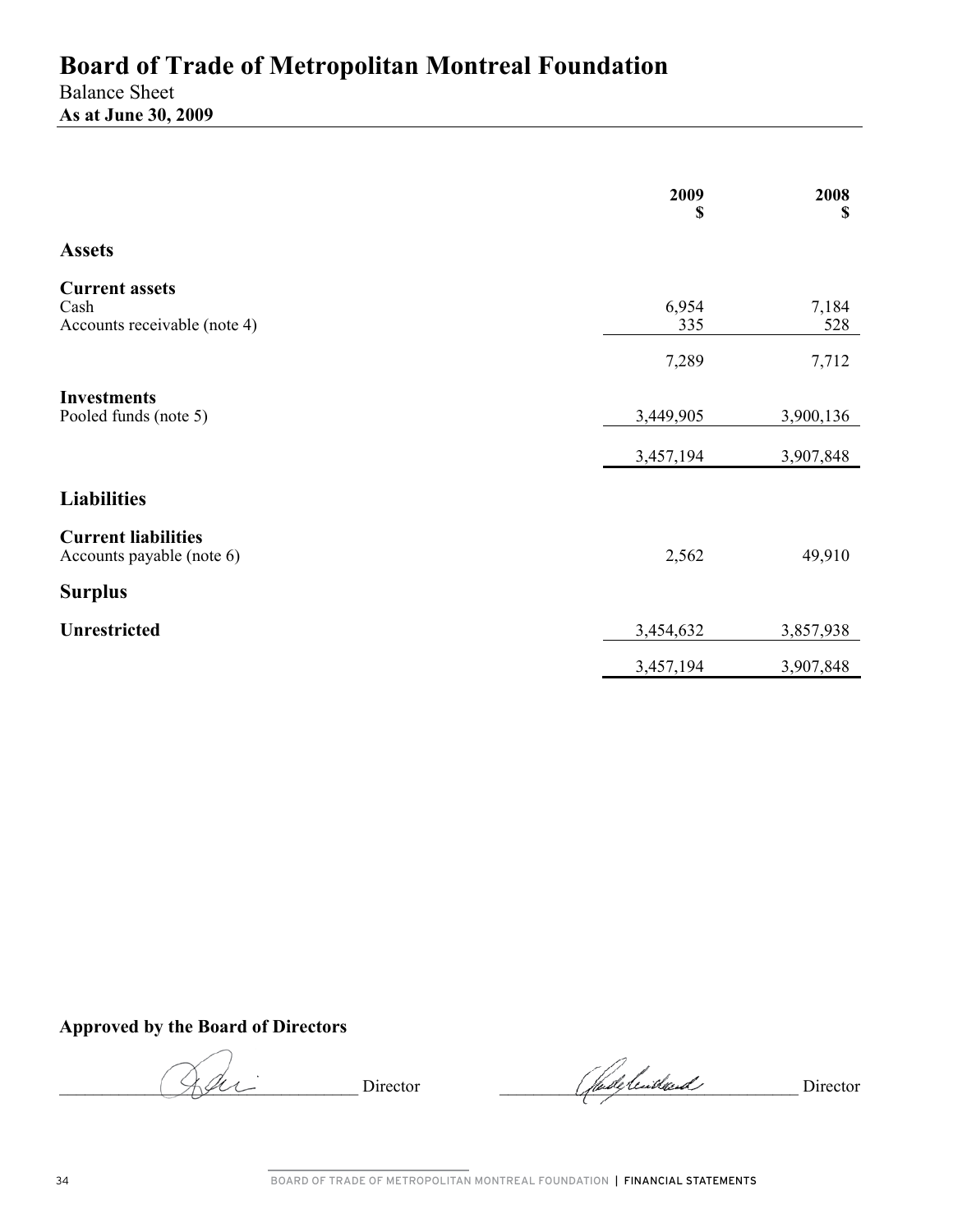Balance Sheet **As at June 30, 2009** 

|                                                               | 2009<br>\$   | 2008<br>\$   |
|---------------------------------------------------------------|--------------|--------------|
| <b>Assets</b>                                                 |              |              |
| <b>Current assets</b><br>Cash<br>Accounts receivable (note 4) | 6,954<br>335 | 7,184<br>528 |
|                                                               | 7,289        | 7,712        |
| <b>Investments</b><br>Pooled funds (note 5)                   | 3,449,905    | 3,900,136    |
|                                                               | 3,457,194    | 3,907,848    |
| <b>Liabilities</b>                                            |              |              |
| <b>Current liabilities</b><br>Accounts payable (note 6)       | 2,562        | 49,910       |
| <b>Surplus</b>                                                |              |              |
| <b>Unrestricted</b>                                           | 3,454,632    | 3,857,938    |
|                                                               | 3,457,194    | 3,907,848    |

**Approved by the Board of Directors** 

Director Chadelende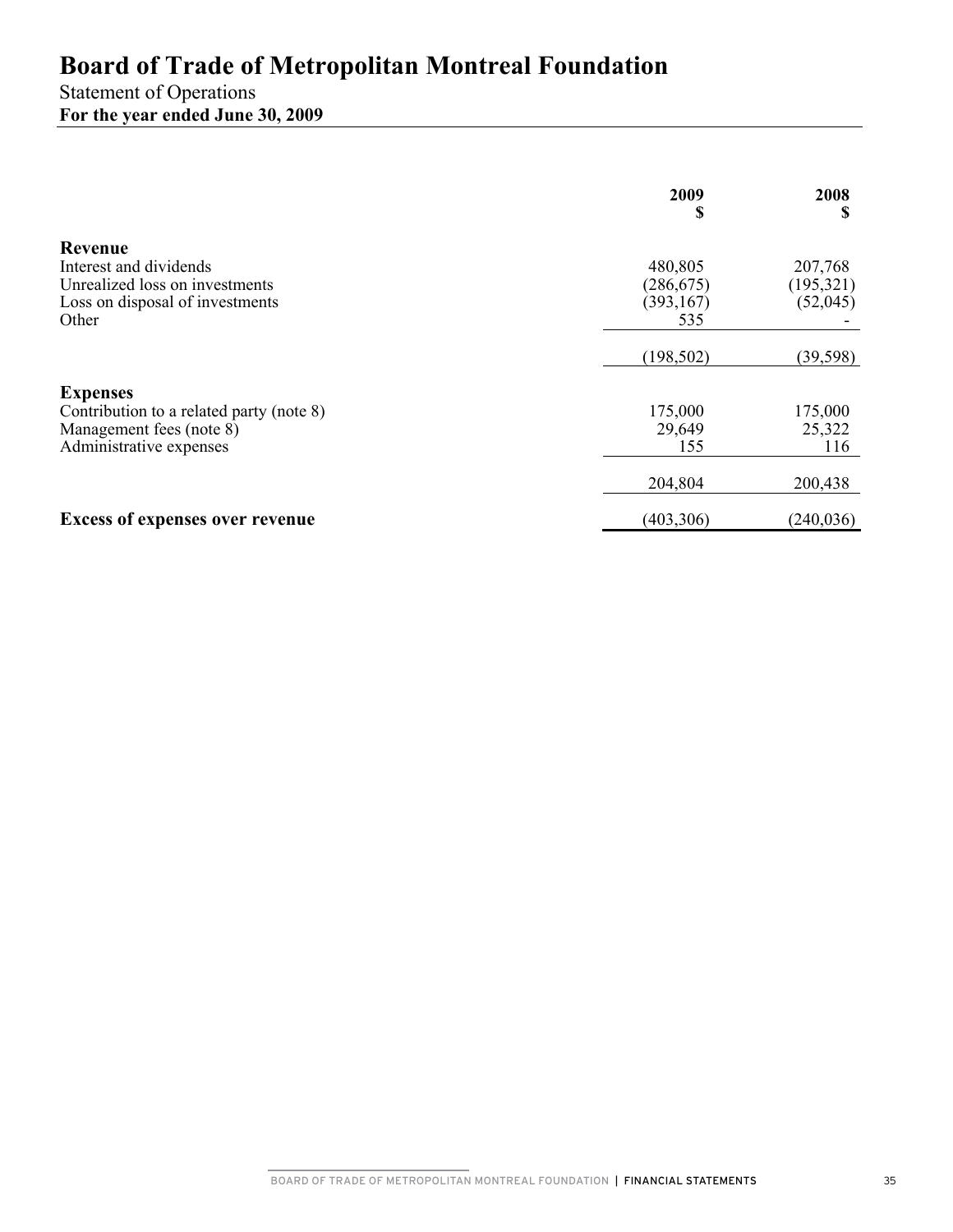# Statement of Operations **For the year ended June 30, 2009**

|                                                                                                                    | 2009<br>S                                  | 2008<br>S                         |
|--------------------------------------------------------------------------------------------------------------------|--------------------------------------------|-----------------------------------|
| Revenue<br>Interest and dividends<br>Unrealized loss on investments<br>Loss on disposal of investments<br>Other    | 480,805<br>(286, 675)<br>(393, 167)<br>535 | 207,768<br>(195, 321)<br>(52,045) |
|                                                                                                                    | (198, 502)                                 | (39, 598)                         |
| <b>Expenses</b><br>Contribution to a related party (note 8)<br>Management fees (note 8)<br>Administrative expenses | 175,000<br>29,649<br>155                   | 175,000<br>25,322<br>116          |
|                                                                                                                    | 204,804                                    | 200,438                           |
| <b>Excess of expenses over revenue</b>                                                                             | (403, 306)                                 | (240, 036)                        |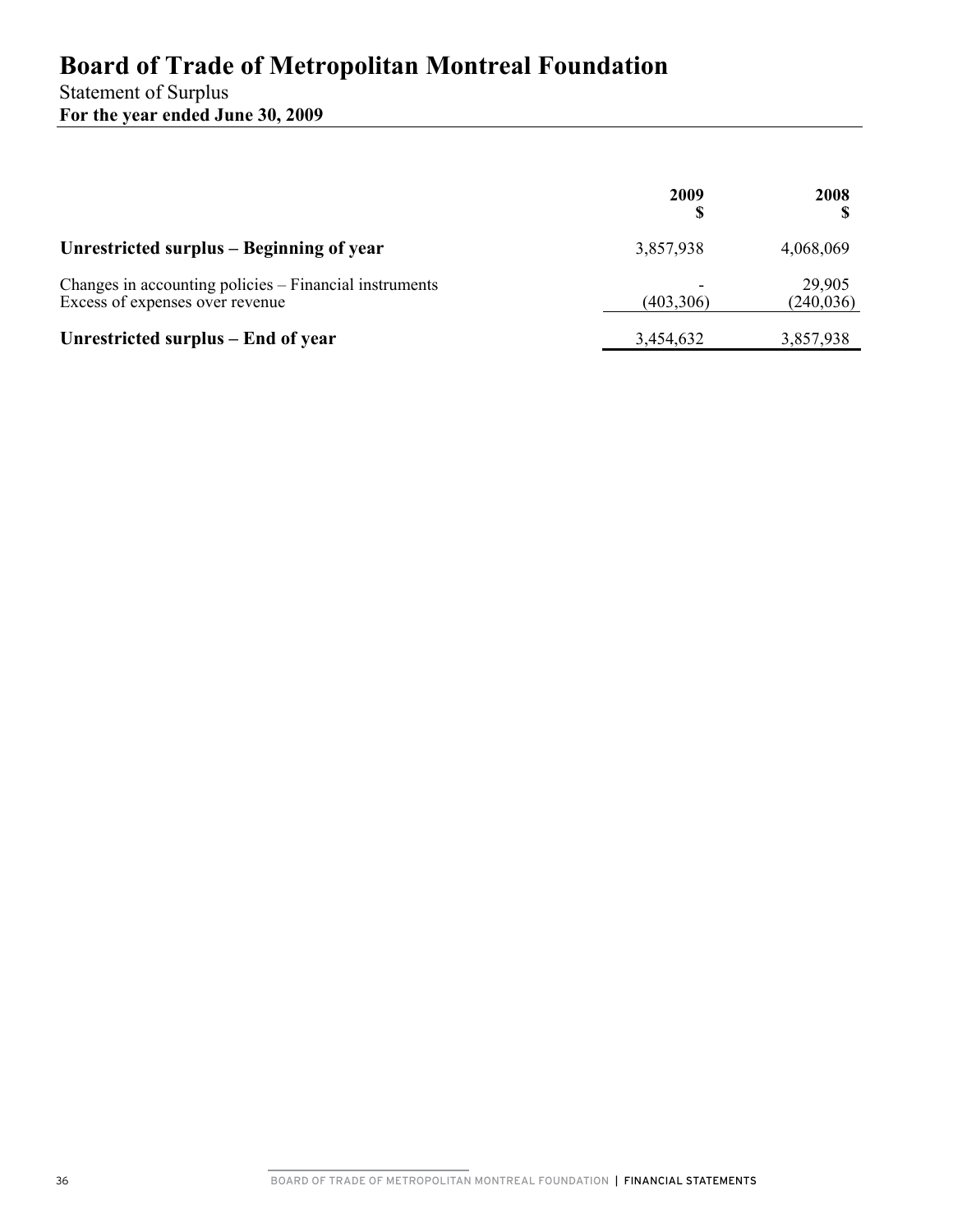## Statement of Surplus **For the year ended June 30, 2009**

|                                                                                           | 2009       | 2008                 |
|-------------------------------------------------------------------------------------------|------------|----------------------|
| Unrestricted surplus – Beginning of year                                                  | 3,857,938  | 4,068,069            |
| Changes in accounting policies – Financial instruments<br>Excess of expenses over revenue | (403, 306) | 29,905<br>(240, 036) |
| Unrestricted surplus – End of year                                                        | 3,454,632  | 3,857,938            |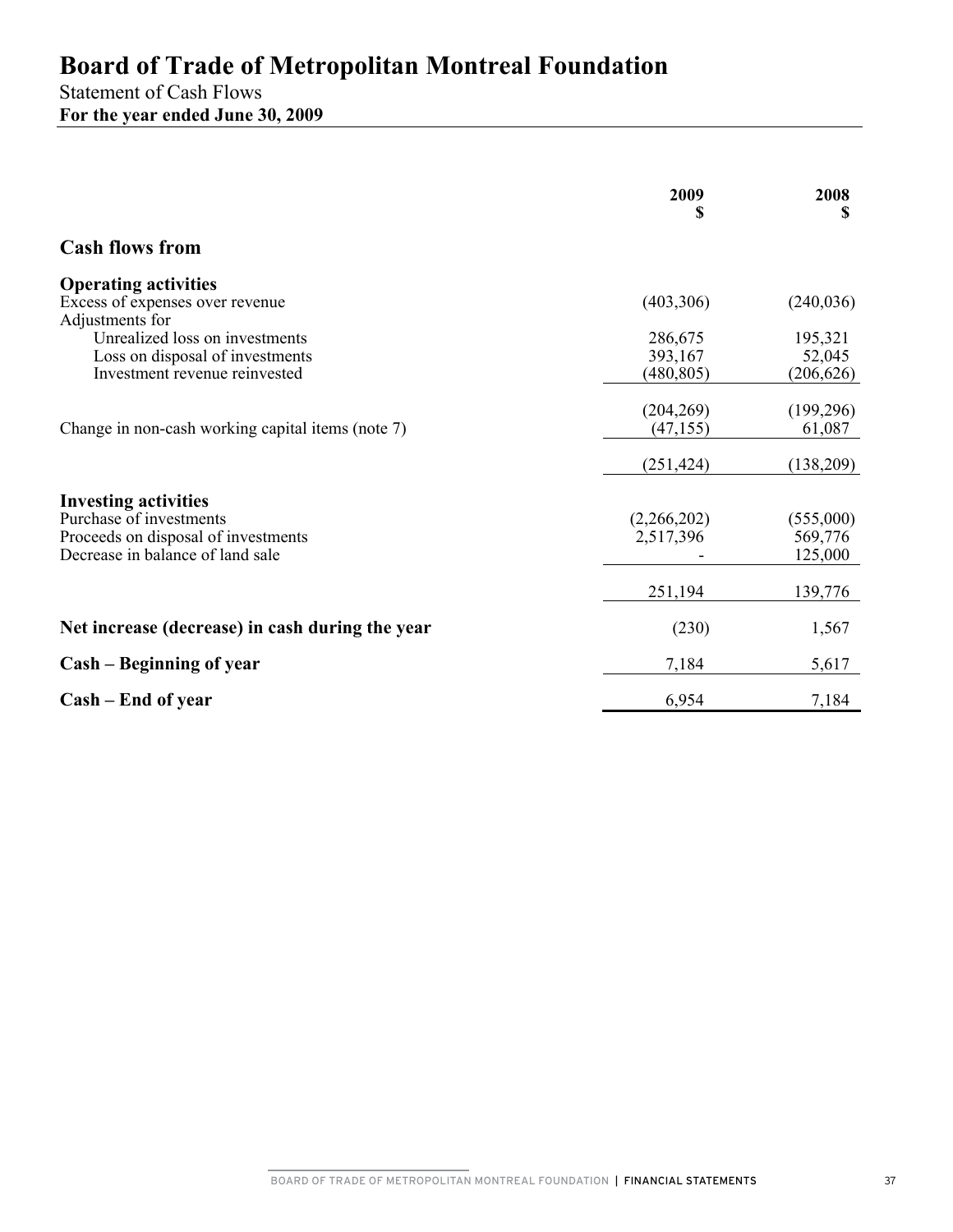Statement of Cash Flows **For the year ended June 30, 2009** 

|                                                                         | 2009<br>S   | 2008<br>S  |
|-------------------------------------------------------------------------|-------------|------------|
| <b>Cash flows from</b>                                                  |             |            |
| <b>Operating activities</b>                                             |             |            |
| Excess of expenses over revenue                                         | (403, 306)  | (240, 036) |
| Adjustments for<br>Unrealized loss on investments                       | 286,675     | 195,321    |
| Loss on disposal of investments                                         | 393,167     | 52,045     |
| Investment revenue reinvested                                           | (480, 805)  | (206, 626) |
|                                                                         |             |            |
|                                                                         | (204, 269)  | (199,296)  |
| Change in non-cash working capital items (note 7)                       | (47, 155)   | 61,087     |
|                                                                         | (251, 424)  | (138,209)  |
|                                                                         |             |            |
| <b>Investing activities</b>                                             |             |            |
| Purchase of investments                                                 | (2,266,202) | (555,000)  |
| Proceeds on disposal of investments<br>Decrease in balance of land sale | 2,517,396   | 569,776    |
|                                                                         |             | 125,000    |
|                                                                         | 251,194     | 139,776    |
| Net increase (decrease) in cash during the year                         | (230)       | 1,567      |
| Cash – Beginning of year                                                | 7,184       | 5,617      |
| Cash – End of year                                                      | 6,954       | 7,184      |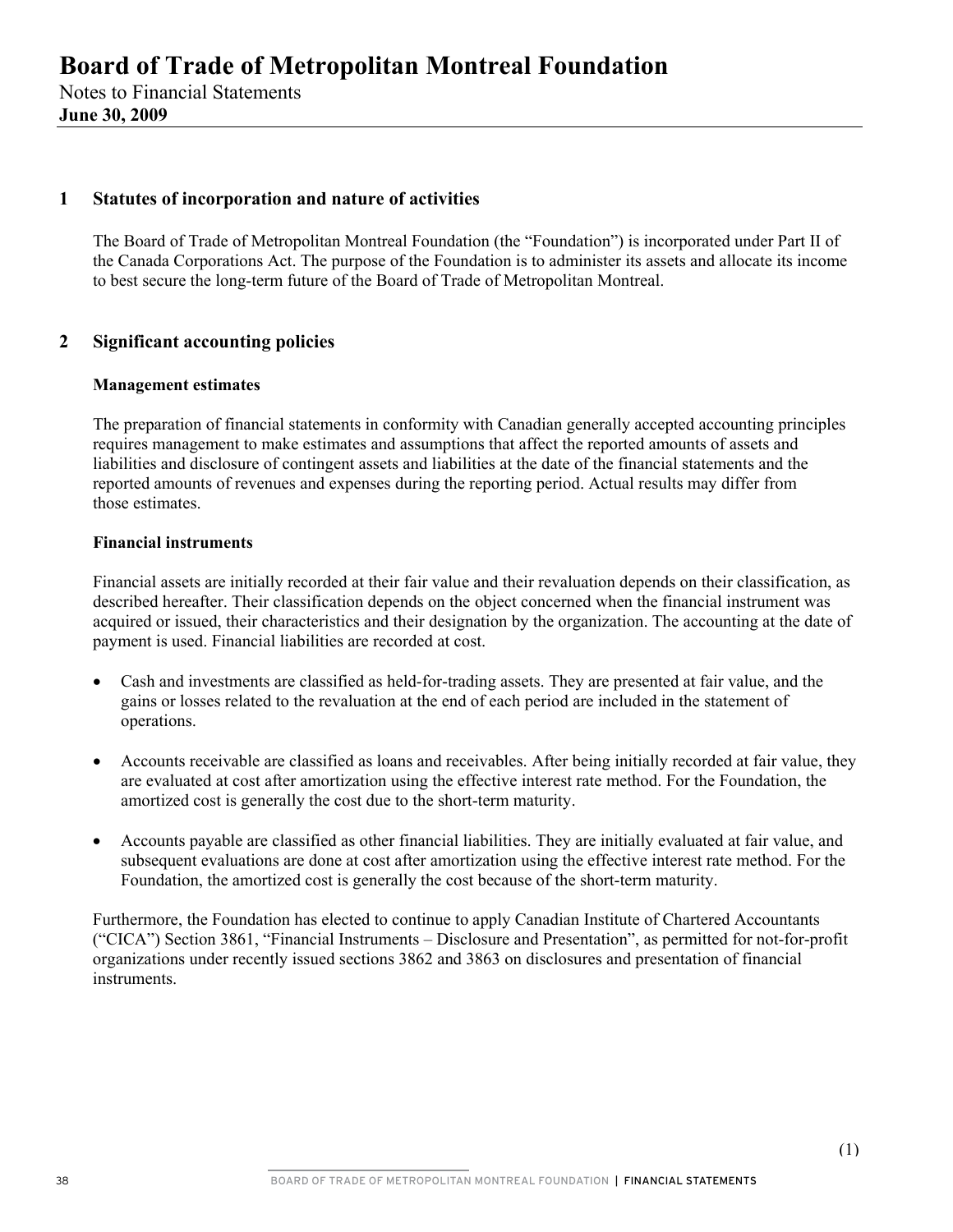### **1 Statutes of incorporation and nature of activities**

The Board of Trade of Metropolitan Montreal Foundation (the "Foundation") is incorporated under Part II of the Canada Corporations Act. The purpose of the Foundation is to administer its assets and allocate its income to best secure the long-term future of the Board of Trade of Metropolitan Montreal.

### **2 Significant accounting policies**

#### **Management estimates**

The preparation of financial statements in conformity with Canadian generally accepted accounting principles requires management to make estimates and assumptions that affect the reported amounts of assets and liabilities and disclosure of contingent assets and liabilities at the date of the financial statements and the reported amounts of revenues and expenses during the reporting period. Actual results may differ from those estimates.

#### **Financial instruments**

Financial assets are initially recorded at their fair value and their revaluation depends on their classification, as described hereafter. Their classification depends on the object concerned when the financial instrument was acquired or issued, their characteristics and their designation by the organization. The accounting at the date of payment is used. Financial liabilities are recorded at cost.

- Cash and investments are classified as held-for-trading assets. They are presented at fair value, and the gains or losses related to the revaluation at the end of each period are included in the statement of operations.
- Accounts receivable are classified as loans and receivables. After being initially recorded at fair value, they are evaluated at cost after amortization using the effective interest rate method. For the Foundation, the amortized cost is generally the cost due to the short-term maturity.
- Accounts payable are classified as other financial liabilities. They are initially evaluated at fair value, and subsequent evaluations are done at cost after amortization using the effective interest rate method. For the Foundation, the amortized cost is generally the cost because of the short-term maturity.

Furthermore, the Foundation has elected to continue to apply Canadian Institute of Chartered Accountants ("CICA") Section 3861, "Financial Instruments – Disclosure and Presentation", as permitted for not-for-profit organizations under recently issued sections 3862 and 3863 on disclosures and presentation of financial instruments.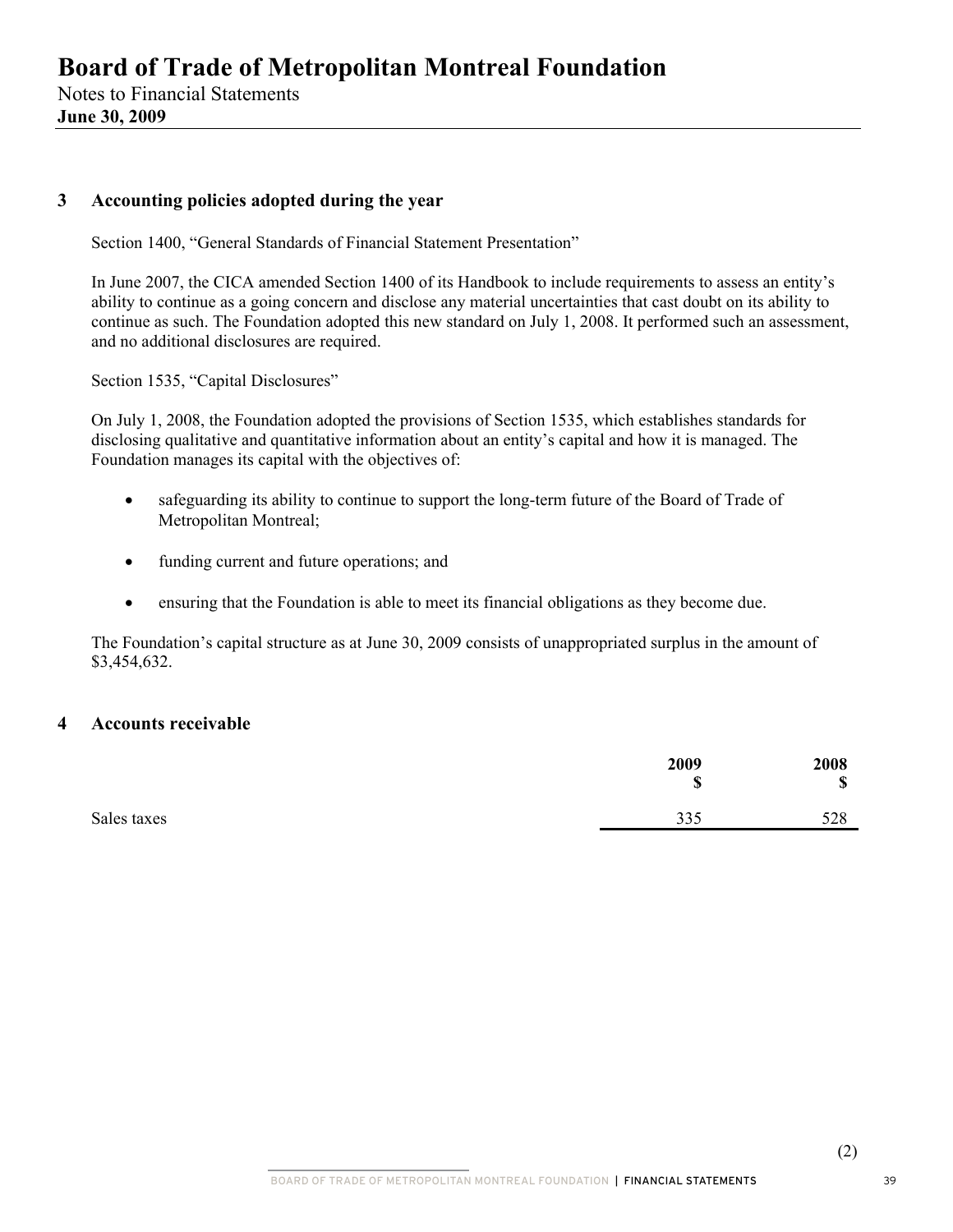**June 30, 2009** 

### **3 Accounting policies adopted during the year**

Section 1400, "General Standards of Financial Statement Presentation"

In June 2007, the CICA amended Section 1400 of its Handbook to include requirements to assess an entity's ability to continue as a going concern and disclose any material uncertainties that cast doubt on its ability to continue as such. The Foundation adopted this new standard on July 1, 2008. It performed such an assessment, and no additional disclosures are required.

Section 1535, "Capital Disclosures"

On July 1, 2008, the Foundation adopted the provisions of Section 1535, which establishes standards for disclosing qualitative and quantitative information about an entity's capital and how it is managed. The Foundation manages its capital with the objectives of:

- safeguarding its ability to continue to support the long-term future of the Board of Trade of Metropolitan Montreal;
- funding current and future operations; and
- ensuring that the Foundation is able to meet its financial obligations as they become due.

The Foundation's capital structure as at June 30, 2009 consists of unappropriated surplus in the amount of \$3,454,632.

#### **4 Accounts receivable**

|             | 2009<br>$\mathbf C$<br>Φ | 2008<br>$\mathbf{C}$<br>⊅ |
|-------------|--------------------------|---------------------------|
| Sales taxes | 335                      | 528                       |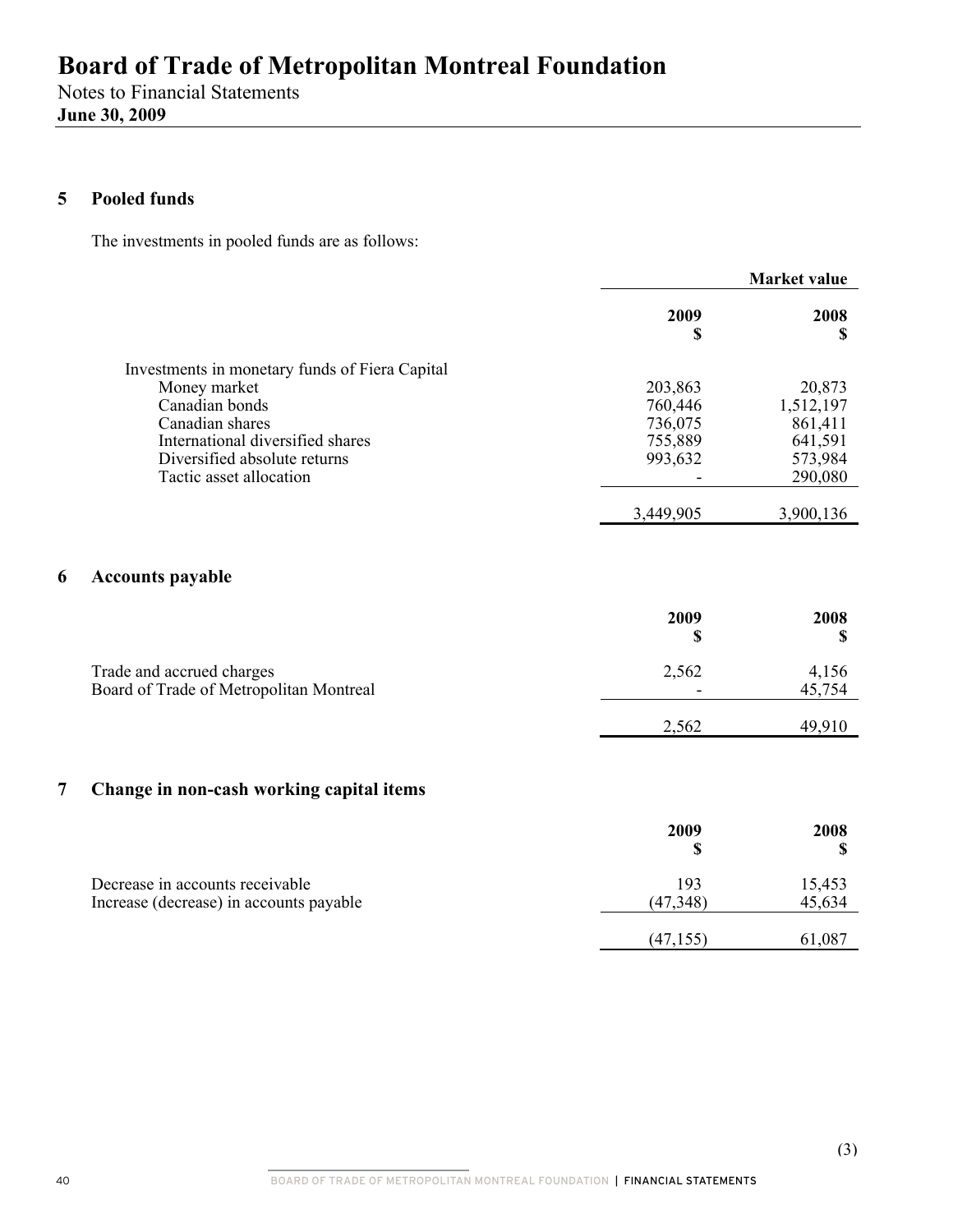Notes to Financial Statements **June 30, 2009** 

## **5 Pooled funds**

The investments in pooled funds are as follows:

|                                                | <b>Market value</b> |           |
|------------------------------------------------|---------------------|-----------|
|                                                | 2009<br>\$          | 2008      |
| Investments in monetary funds of Fiera Capital |                     |           |
| Money market                                   | 203,863             | 20,873    |
| Canadian bonds                                 | 760,446             | 1,512,197 |
| Canadian shares                                | 736,075             | 861,411   |
| International diversified shares               | 755,889             | 641,591   |
| Diversified absolute returns                   | 993,632             | 573,984   |
| Tactic asset allocation                        |                     | 290,080   |
|                                                | 3,449,905           | 3,900,136 |

## **6 Accounts payable**

|                                                                      | 2009<br>¢                         | 2008            |
|----------------------------------------------------------------------|-----------------------------------|-----------------|
| Trade and accrued charges<br>Board of Trade of Metropolitan Montreal | 2,562<br>$\overline{\phantom{a}}$ | 4,156<br>45,754 |
|                                                                      | 2,562                             | 49,910          |

## **7 Change in non-cash working capital items**

|                                                                            | 2009             | 2008             |
|----------------------------------------------------------------------------|------------------|------------------|
| Decrease in accounts receivable<br>Increase (decrease) in accounts payable | 193<br>(47, 348) | 15,453<br>45,634 |
|                                                                            | (47, 155)        | 61,087           |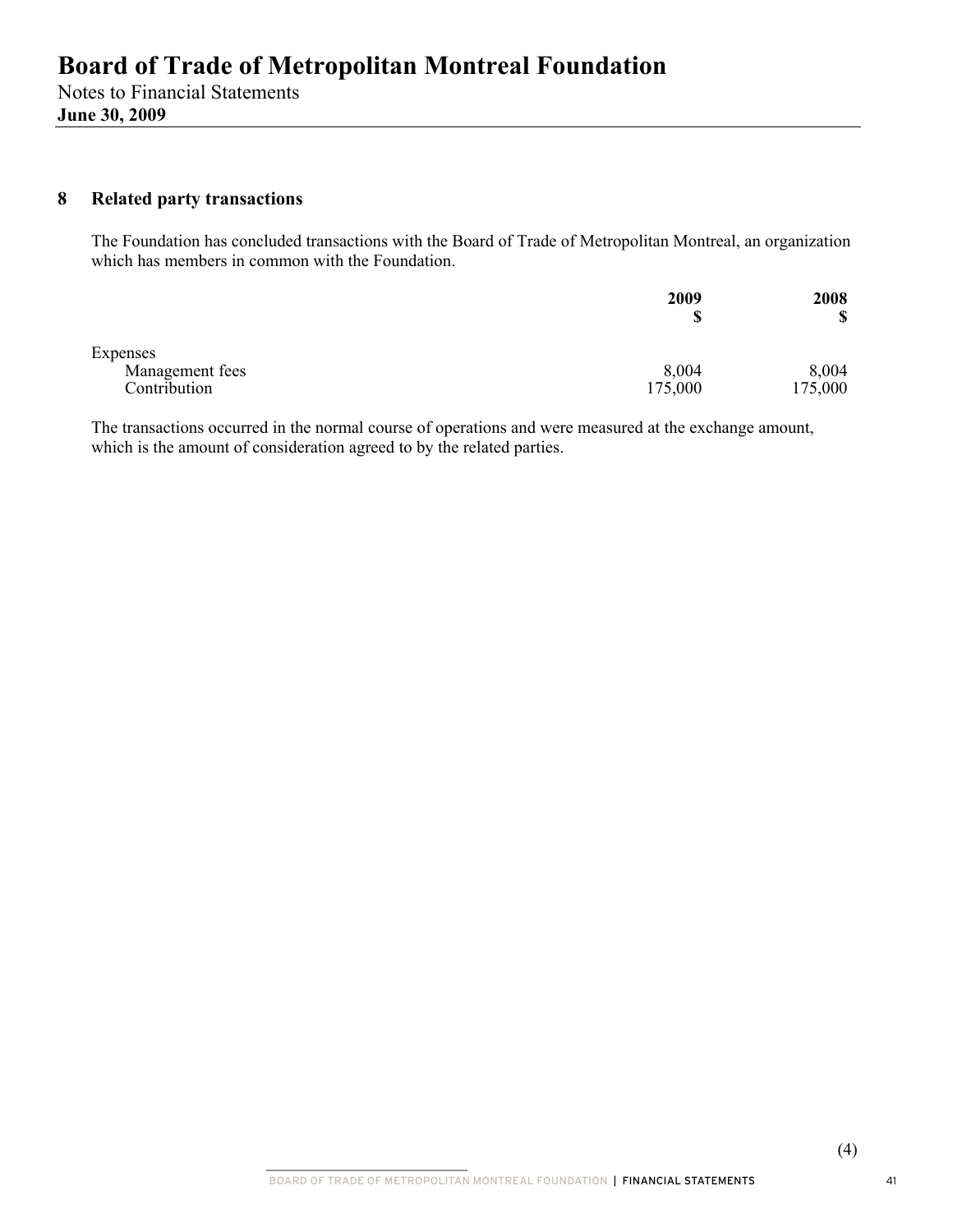## **8 Related party transactions**

The Foundation has concluded transactions with the Board of Trade of Metropolitan Montreal, an organization which has members in common with the Foundation.

|                 | 2009<br>\$ | 2008<br>\$ |
|-----------------|------------|------------|
| Expenses        |            |            |
| Management fees | 8,004      | 8,004      |
| Contribution    | 175,000    | 175,000    |

The transactions occurred in the normal course of operations and were measured at the exchange amount, which is the amount of consideration agreed to by the related parties.

41